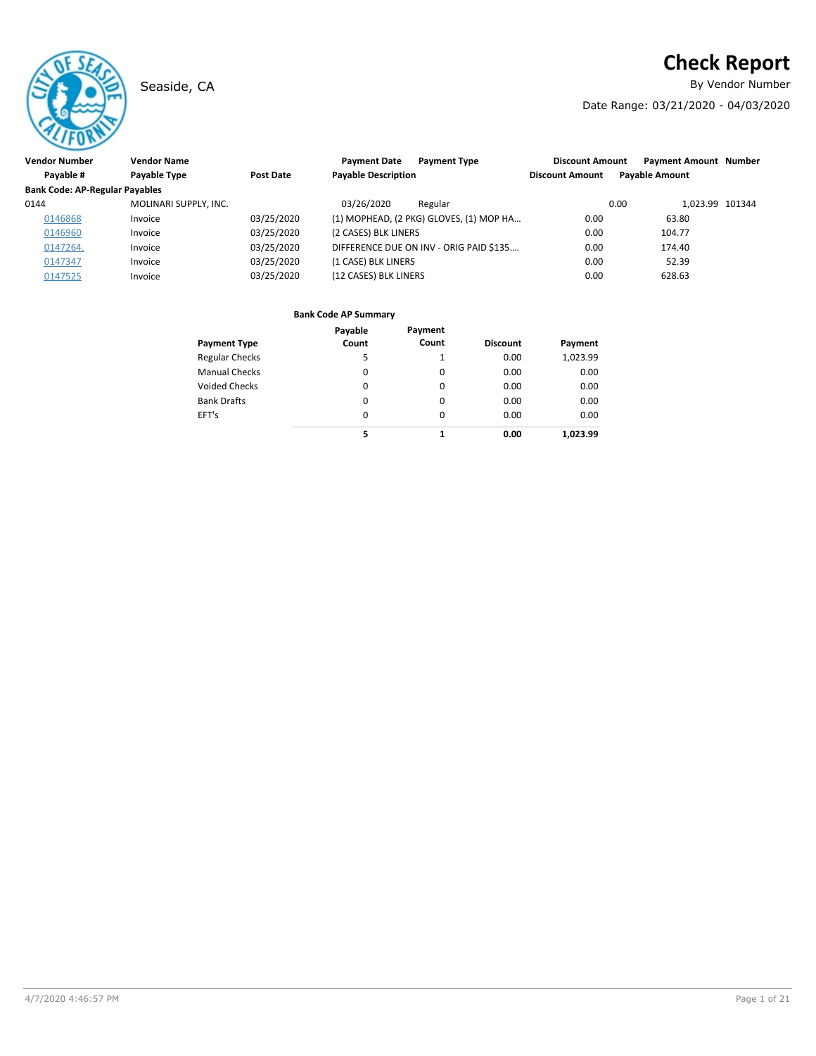# **Check Report**

Seaside, CA **By Vendor Number** 

Date Range: 03/21/2020 - 04/03/2020

| Vendor Number                         | <b>Vendor Name</b>    |            | <b>Payment Type</b><br><b>Payment Date</b> | <b>Discount Amount</b> | <b>Payment Amount Number</b> |  |
|---------------------------------------|-----------------------|------------|--------------------------------------------|------------------------|------------------------------|--|
| Pavable #                             | <b>Pavable Type</b>   | Post Date  | <b>Payable Description</b>                 | <b>Discount Amount</b> | <b>Pavable Amount</b>        |  |
| <b>Bank Code: AP-Regular Payables</b> |                       |            |                                            |                        |                              |  |
| 0144                                  | MOLINARI SUPPLY, INC. |            | 03/26/2020<br>Regular                      |                        | 0.00<br>1.023.99 101344      |  |
| 0146868                               | Invoice               | 03/25/2020 | (1) MOPHEAD, (2 PKG) GLOVES, (1) MOP HA    | 0.00                   | 63.80                        |  |
| 0146960                               | Invoice               | 03/25/2020 | (2 CASES) BLK LINERS                       | 0.00                   | 104.77                       |  |
| 0147264.                              | Invoice               | 03/25/2020 | DIFFERENCE DUE ON INV - ORIG PAID \$135    | 0.00                   | 174.40                       |  |
| 0147347                               | Invoice               | 03/25/2020 | (1 CASE) BLK LINERS                        | 0.00                   | 52.39                        |  |
| 0147525                               | Invoice               | 03/25/2020 | (12 CASES) BLK LINERS                      | 0.00                   | 628.63                       |  |

|                       | Payable | Payment |                 |          |
|-----------------------|---------|---------|-----------------|----------|
| <b>Payment Type</b>   | Count   | Count   | <b>Discount</b> | Payment  |
| <b>Regular Checks</b> | 5       | 1       | 0.00            | 1,023.99 |
| Manual Checks         | 0       | 0       | 0.00            | 0.00     |
| Voided Checks         | 0       | 0       | 0.00            | 0.00     |
| <b>Bank Drafts</b>    | 0       | 0       | 0.00            | 0.00     |
| EFT's                 | 0       | 0       | 0.00            | 0.00     |
|                       | 5       | 1       | 0.00            | 1.023.99 |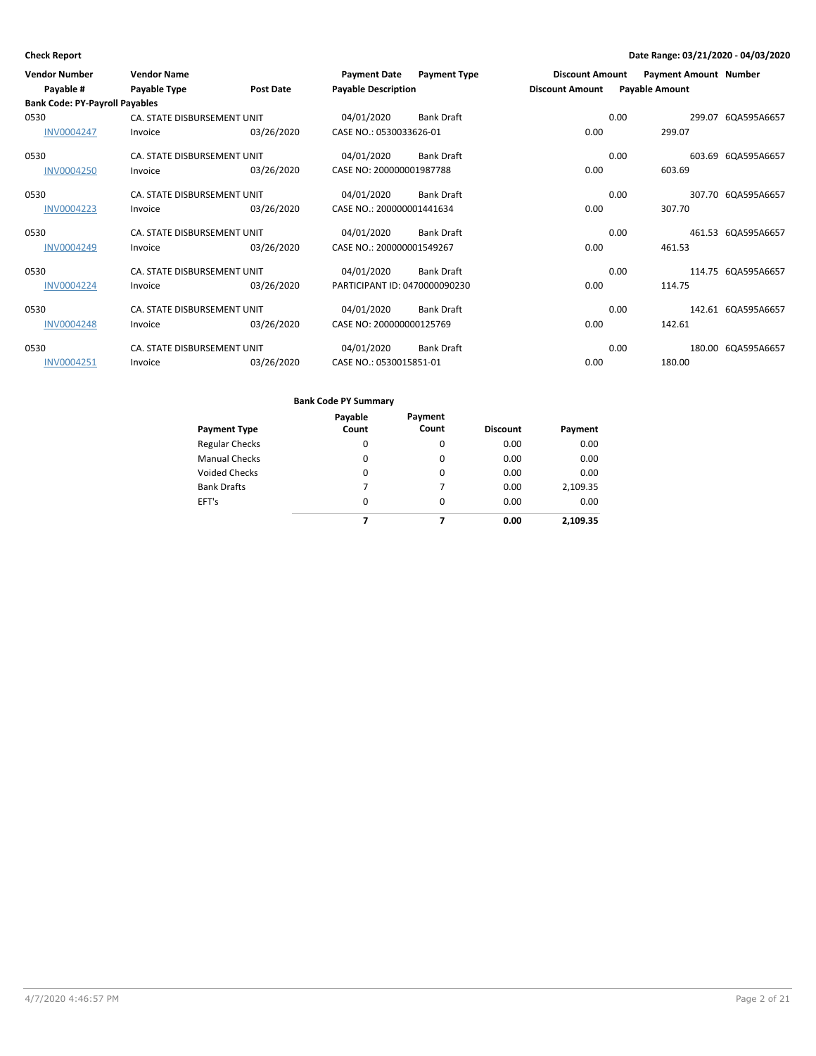| <b>Vendor Number</b>                  | <b>Vendor Name</b>          |                  | <b>Payment Date</b>           | <b>Payment Type</b> | <b>Discount Amount</b> |      | <b>Payment Amount Number</b> |                    |
|---------------------------------------|-----------------------------|------------------|-------------------------------|---------------------|------------------------|------|------------------------------|--------------------|
| Payable #                             | Payable Type                | <b>Post Date</b> | <b>Payable Description</b>    |                     | <b>Discount Amount</b> |      | <b>Payable Amount</b>        |                    |
| <b>Bank Code: PY-Payroll Payables</b> |                             |                  |                               |                     |                        |      |                              |                    |
| 0530                                  | CA. STATE DISBURSEMENT UNIT |                  | 04/01/2020                    | <b>Bank Draft</b>   |                        | 0.00 |                              | 299.07 6QA595A6657 |
| <b>INV0004247</b>                     | Invoice                     | 03/26/2020       | CASE NO.: 0530033626-01       |                     | 0.00                   |      | 299.07                       |                    |
| 0530                                  | CA. STATE DISBURSEMENT UNIT |                  | 04/01/2020                    | <b>Bank Draft</b>   |                        | 0.00 |                              | 603.69 6QA595A6657 |
| <b>INV0004250</b>                     | Invoice                     | 03/26/2020       | CASE NO: 200000001987788      |                     | 0.00                   |      | 603.69                       |                    |
| 0530                                  | CA. STATE DISBURSEMENT UNIT |                  | 04/01/2020                    | <b>Bank Draft</b>   |                        | 0.00 |                              | 307.70 6QA595A6657 |
| <b>INV0004223</b>                     | Invoice                     | 03/26/2020       | CASE NO.: 200000001441634     |                     | 0.00                   |      | 307.70                       |                    |
| 0530                                  | CA. STATE DISBURSEMENT UNIT |                  | 04/01/2020                    | <b>Bank Draft</b>   |                        | 0.00 |                              | 461.53 6QA595A6657 |
| INV0004249                            | Invoice                     | 03/26/2020       | CASE NO.: 200000001549267     |                     | 0.00                   |      | 461.53                       |                    |
| 0530                                  | CA. STATE DISBURSEMENT UNIT |                  | 04/01/2020                    | Bank Draft          |                        | 0.00 |                              | 114.75 6QA595A6657 |
| <b>INV0004224</b>                     | Invoice                     | 03/26/2020       | PARTICIPANT ID: 0470000090230 |                     | 0.00                   |      | 114.75                       |                    |
| 0530                                  | CA. STATE DISBURSEMENT UNIT |                  | 04/01/2020                    | <b>Bank Draft</b>   |                        | 0.00 |                              | 142.61 6QA595A6657 |
| <b>INV0004248</b>                     | Invoice                     | 03/26/2020       | CASE NO: 200000000125769      |                     | 0.00                   |      | 142.61                       |                    |
| 0530                                  | CA. STATE DISBURSEMENT UNIT |                  | 04/01/2020                    | <b>Bank Draft</b>   |                        | 0.00 |                              | 180.00 6QA595A6657 |
| INV0004251                            | Invoice                     | 03/26/2020       | CASE NO.: 0530015851-01       |                     | 0.00                   |      | 180.00                       |                    |

|                       | Payable  | Payment  |                 |          |
|-----------------------|----------|----------|-----------------|----------|
| <b>Payment Type</b>   | Count    | Count    | <b>Discount</b> | Payment  |
| <b>Regular Checks</b> | 0        | 0        | 0.00            | 0.00     |
| <b>Manual Checks</b>  | 0        | 0        | 0.00            | 0.00     |
| <b>Voided Checks</b>  | 0        | $\Omega$ | 0.00            | 0.00     |
| <b>Bank Drafts</b>    | 7        | 7        | 0.00            | 2,109.35 |
| EFT's                 | $\Omega$ | $\Omega$ | 0.00            | 0.00     |
|                       |          |          | 0.00            | 2.109.35 |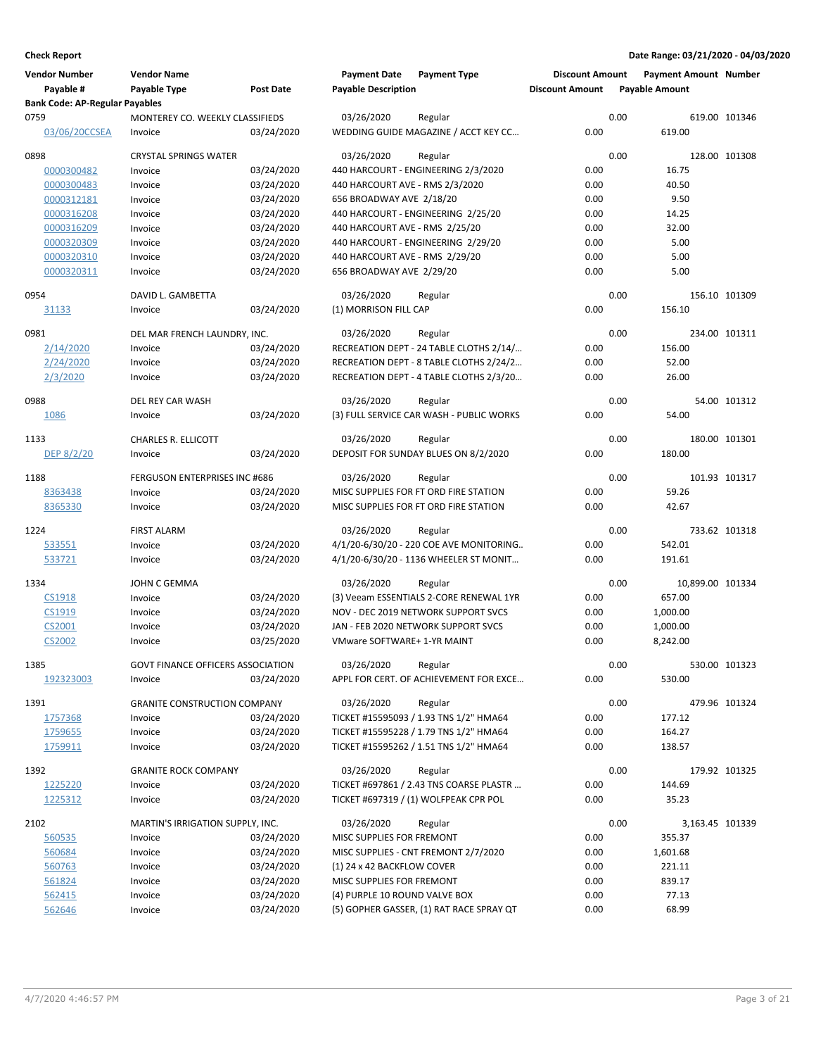| <b>Vendor Number</b>                  | <b>Vendor Name</b>                  |                  | <b>Payment Date</b>             | <b>Payment Type</b>                                | <b>Discount Amount</b> |      | <b>Payment Amount Number</b> |               |
|---------------------------------------|-------------------------------------|------------------|---------------------------------|----------------------------------------------------|------------------------|------|------------------------------|---------------|
| Payable #                             | Payable Type                        | <b>Post Date</b> | <b>Payable Description</b>      |                                                    | <b>Discount Amount</b> |      | <b>Payable Amount</b>        |               |
| <b>Bank Code: AP-Regular Payables</b> |                                     |                  |                                 |                                                    |                        |      |                              |               |
| 0759                                  | MONTEREY CO. WEEKLY CLASSIFIEDS     |                  | 03/26/2020                      | Regular                                            |                        | 0.00 |                              | 619.00 101346 |
| 03/06/20CCSEA                         | Invoice                             | 03/24/2020       |                                 | WEDDING GUIDE MAGAZINE / ACCT KEY CC               | 0.00                   |      | 619.00                       |               |
| 0898                                  | <b>CRYSTAL SPRINGS WATER</b>        |                  | 03/26/2020                      | Regular                                            |                        | 0.00 |                              | 128.00 101308 |
| 0000300482                            | Invoice                             | 03/24/2020       |                                 | 440 HARCOURT - ENGINEERING 2/3/2020                | 0.00                   |      | 16.75                        |               |
| 0000300483                            | Invoice                             | 03/24/2020       | 440 HARCOURT AVE - RMS 2/3/2020 |                                                    | 0.00                   |      | 40.50                        |               |
| 0000312181                            | Invoice                             | 03/24/2020       | 656 BROADWAY AVE 2/18/20        |                                                    | 0.00                   |      | 9.50                         |               |
| 0000316208                            | Invoice                             | 03/24/2020       |                                 | 440 HARCOURT - ENGINEERING 2/25/20                 | 0.00                   |      | 14.25                        |               |
| 0000316209                            | Invoice                             | 03/24/2020       | 440 HARCOURT AVE - RMS 2/25/20  |                                                    | 0.00                   |      | 32.00                        |               |
| 0000320309                            | Invoice                             | 03/24/2020       |                                 | 440 HARCOURT - ENGINEERING 2/29/20                 | 0.00                   |      | 5.00                         |               |
| 0000320310                            | Invoice                             | 03/24/2020       | 440 HARCOURT AVE - RMS 2/29/20  |                                                    | 0.00                   |      | 5.00                         |               |
| 0000320311                            | Invoice                             | 03/24/2020       | 656 BROADWAY AVE 2/29/20        |                                                    | 0.00                   |      | 5.00                         |               |
|                                       |                                     |                  |                                 |                                                    |                        |      |                              |               |
| 0954                                  | DAVID L. GAMBETTA                   |                  | 03/26/2020                      | Regular                                            |                        | 0.00 |                              | 156.10 101309 |
| 31133                                 | Invoice                             | 03/24/2020       | (1) MORRISON FILL CAP           |                                                    | 0.00                   |      | 156.10                       |               |
| 0981                                  | DEL MAR FRENCH LAUNDRY, INC.        |                  | 03/26/2020                      | Regular                                            |                        | 0.00 |                              | 234.00 101311 |
| 2/14/2020                             | Invoice                             | 03/24/2020       |                                 | RECREATION DEPT - 24 TABLE CLOTHS 2/14/            | 0.00                   |      | 156.00                       |               |
| 2/24/2020                             | Invoice                             | 03/24/2020       |                                 | RECREATION DEPT - 8 TABLE CLOTHS 2/24/2            | 0.00                   |      | 52.00                        |               |
| 2/3/2020                              | Invoice                             | 03/24/2020       |                                 | RECREATION DEPT - 4 TABLE CLOTHS 2/3/20            | 0.00                   |      | 26.00                        |               |
|                                       |                                     |                  |                                 |                                                    |                        |      |                              |               |
| 0988                                  | DEL REY CAR WASH                    |                  | 03/26/2020                      | Regular                                            |                        | 0.00 |                              | 54.00 101312  |
| 1086                                  | Invoice                             | 03/24/2020       |                                 | (3) FULL SERVICE CAR WASH - PUBLIC WORKS           | 0.00                   |      | 54.00                        |               |
| 1133                                  | CHARLES R. ELLICOTT                 |                  | 03/26/2020                      | Regular                                            |                        | 0.00 |                              | 180.00 101301 |
| DEP 8/2/20                            | Invoice                             | 03/24/2020       |                                 | DEPOSIT FOR SUNDAY BLUES ON 8/2/2020               | 0.00                   |      | 180.00                       |               |
|                                       |                                     |                  |                                 |                                                    |                        |      |                              |               |
| 1188                                  | FERGUSON ENTERPRISES INC #686       |                  | 03/26/2020                      | Regular                                            |                        | 0.00 |                              | 101.93 101317 |
| 8363438                               | Invoice                             | 03/24/2020       |                                 | MISC SUPPLIES FOR FT ORD FIRE STATION              | 0.00                   |      | 59.26                        |               |
| 8365330                               | Invoice                             | 03/24/2020       |                                 | MISC SUPPLIES FOR FT ORD FIRE STATION              | 0.00                   |      | 42.67                        |               |
| 1224                                  | <b>FIRST ALARM</b>                  |                  | 03/26/2020                      | Regular                                            |                        | 0.00 |                              | 733.62 101318 |
| 533551                                | Invoice                             | 03/24/2020       |                                 | 4/1/20-6/30/20 - 220 COE AVE MONITORING            | 0.00                   |      | 542.01                       |               |
| 533721                                | Invoice                             | 03/24/2020       |                                 | 4/1/20-6/30/20 - 1136 WHEELER ST MONIT             | 0.00                   |      | 191.61                       |               |
| 1334                                  | JOHN C GEMMA                        |                  | 03/26/2020                      |                                                    |                        | 0.00 | 10.899.00 101334             |               |
| CS1918                                | Invoice                             | 03/24/2020       |                                 | Regular<br>(3) Veeam ESSENTIALS 2-CORE RENEWAL 1YR | 0.00                   |      | 657.00                       |               |
| CS1919                                | Invoice                             | 03/24/2020       |                                 | NOV - DEC 2019 NETWORK SUPPORT SVCS                | 0.00                   |      | 1,000.00                     |               |
|                                       | Invoice                             | 03/24/2020       |                                 | JAN - FEB 2020 NETWORK SUPPORT SVCS                | 0.00                   |      | 1,000.00                     |               |
| CS2001<br>CS2002                      | Invoice                             | 03/25/2020       | VMware SOFTWARE+ 1-YR MAINT     |                                                    | 0.00                   |      | 8,242.00                     |               |
|                                       |                                     |                  |                                 |                                                    |                        |      |                              |               |
| 1385                                  | GOVT FINANCE OFFICERS ASSOCIATION   |                  | 03/26/2020                      | Regular                                            |                        | 0.00 |                              | 530.00 101323 |
| 192323003                             | Invoice                             | 03/24/2020       |                                 | APPL FOR CERT. OF ACHIEVEMENT FOR EXCE             | 0.00                   |      | 530.00                       |               |
| 1391                                  | <b>GRANITE CONSTRUCTION COMPANY</b> |                  | 03/26/2020                      | Regular                                            |                        | 0.00 |                              | 479.96 101324 |
| 1757368                               | Invoice                             | 03/24/2020       |                                 | TICKET #15595093 / 1.93 TNS 1/2" HMA64             | 0.00                   |      | 177.12                       |               |
| 1759655                               | Invoice                             | 03/24/2020       |                                 | TICKET #15595228 / 1.79 TNS 1/2" HMA64             | 0.00                   |      | 164.27                       |               |
| 1759911                               | Invoice                             | 03/24/2020       |                                 | TICKET #15595262 / 1.51 TNS 1/2" HMA64             | 0.00                   |      | 138.57                       |               |
|                                       |                                     |                  |                                 |                                                    |                        |      |                              |               |
| 1392                                  | <b>GRANITE ROCK COMPANY</b>         |                  | 03/26/2020                      | Regular                                            |                        | 0.00 |                              | 179.92 101325 |
| 1225220                               | Invoice                             | 03/24/2020       |                                 | TICKET #697861 / 2.43 TNS COARSE PLASTR            | 0.00                   |      | 144.69                       |               |
| 1225312                               | Invoice                             | 03/24/2020       |                                 | TICKET #697319 / (1) WOLFPEAK CPR POL              | 0.00                   |      | 35.23                        |               |
| 2102                                  | MARTIN'S IRRIGATION SUPPLY, INC.    |                  | 03/26/2020                      | Regular                                            |                        | 0.00 | 3,163.45 101339              |               |
| 560535                                | Invoice                             | 03/24/2020       | MISC SUPPLIES FOR FREMONT       |                                                    | 0.00                   |      | 355.37                       |               |
| 560684                                | Invoice                             | 03/24/2020       |                                 | MISC SUPPLIES - CNT FREMONT 2/7/2020               | 0.00                   |      | 1,601.68                     |               |
| 560763                                | Invoice                             | 03/24/2020       | (1) 24 x 42 BACKFLOW COVER      |                                                    | 0.00                   |      | 221.11                       |               |
| 561824                                | Invoice                             | 03/24/2020       | MISC SUPPLIES FOR FREMONT       |                                                    | 0.00                   |      | 839.17                       |               |
| 562415                                | Invoice                             | 03/24/2020       | (4) PURPLE 10 ROUND VALVE BOX   |                                                    | 0.00                   |      | 77.13                        |               |
| 562646                                | Invoice                             | 03/24/2020       |                                 | (5) GOPHER GASSER, (1) RAT RACE SPRAY QT           | 0.00                   |      | 68.99                        |               |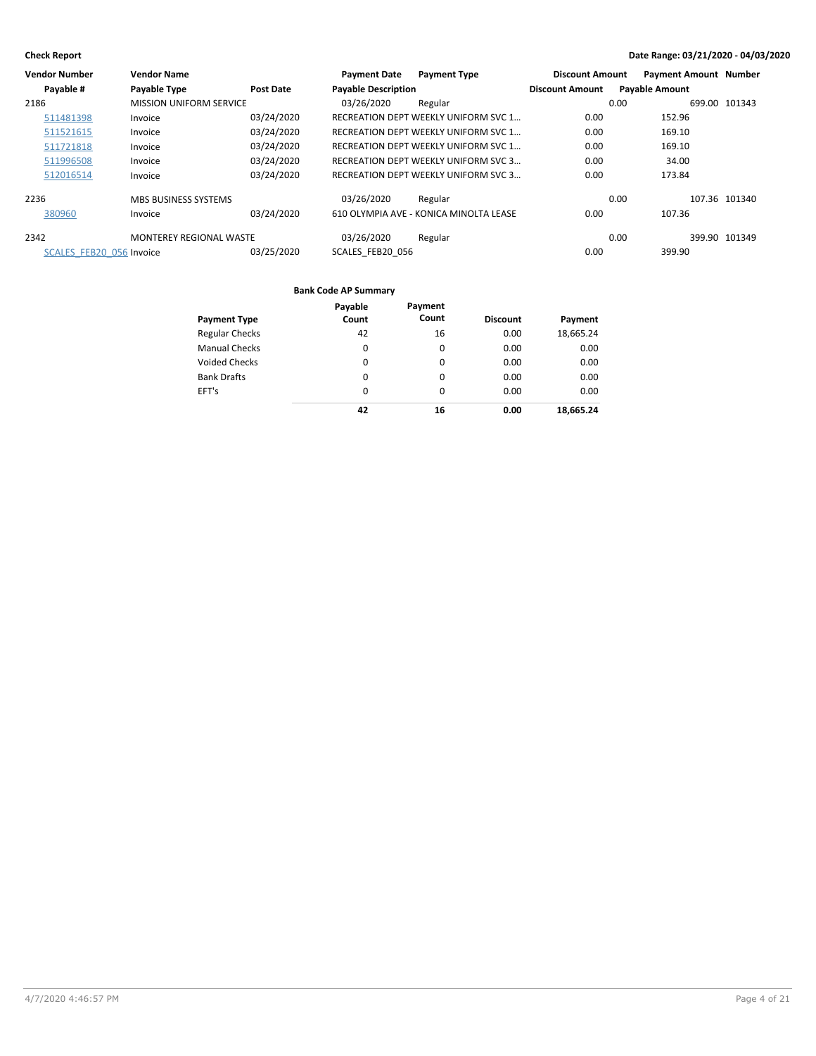| <b>Vendor Number</b>     | <b>Vendor Name</b>             |            | <b>Payment Date</b>        | <b>Payment Type</b>                    | <b>Discount Amount</b> | <b>Payment Amount Number</b> |               |
|--------------------------|--------------------------------|------------|----------------------------|----------------------------------------|------------------------|------------------------------|---------------|
| Payable #                | <b>Payable Type</b>            | Post Date  | <b>Payable Description</b> |                                        | <b>Discount Amount</b> | <b>Pavable Amount</b>        |               |
| 2186                     | <b>MISSION UNIFORM SERVICE</b> |            | 03/26/2020                 | Regular                                |                        | 0.00                         | 699.00 101343 |
| 511481398                | Invoice                        | 03/24/2020 |                            | RECREATION DEPT WEEKLY UNIFORM SVC 1   | 0.00                   | 152.96                       |               |
| 511521615                | Invoice                        | 03/24/2020 |                            | RECREATION DEPT WEEKLY UNIFORM SVC 1   | 0.00                   | 169.10                       |               |
| 511721818                | Invoice                        | 03/24/2020 |                            | RECREATION DEPT WEEKLY UNIFORM SVC 1   | 0.00                   | 169.10                       |               |
| 511996508                | Invoice                        | 03/24/2020 |                            | RECREATION DEPT WEEKLY UNIFORM SVC 3   | 0.00                   | 34.00                        |               |
| 512016514                | Invoice                        | 03/24/2020 |                            | RECREATION DEPT WEEKLY UNIFORM SVC 3   | 0.00                   | 173.84                       |               |
| 2236                     | <b>MBS BUSINESS SYSTEMS</b>    |            | 03/26/2020                 | Regular                                |                        | 0.00                         | 107.36 101340 |
| 380960                   | Invoice                        | 03/24/2020 |                            | 610 OLYMPIA AVE - KONICA MINOLTA LEASE | 0.00                   | 107.36                       |               |
| 2342                     | MONTEREY REGIONAL WASTE        |            | 03/26/2020                 | Regular                                |                        | 0.00                         | 399.90 101349 |
| SCALES FEB20 056 Invoice |                                | 03/25/2020 | SCALES FEB20 056           |                                        | 0.00                   | 399.90                       |               |

| <b>Payment Type</b>   | Payable<br>Count | Payment<br>Count | <b>Discount</b> | Payment   |
|-----------------------|------------------|------------------|-----------------|-----------|
| <b>Regular Checks</b> | 42               | 16               | 0.00            | 18,665.24 |
| <b>Manual Checks</b>  | 0                | 0                | 0.00            | 0.00      |
| <b>Voided Checks</b>  | 0                | 0                | 0.00            | 0.00      |
| <b>Bank Drafts</b>    | 0                | 0                | 0.00            | 0.00      |
| EFT's                 | $\Omega$         | $\Omega$         | 0.00            | 0.00      |
|                       | 42               | 16               | 0.00            | 18,665.24 |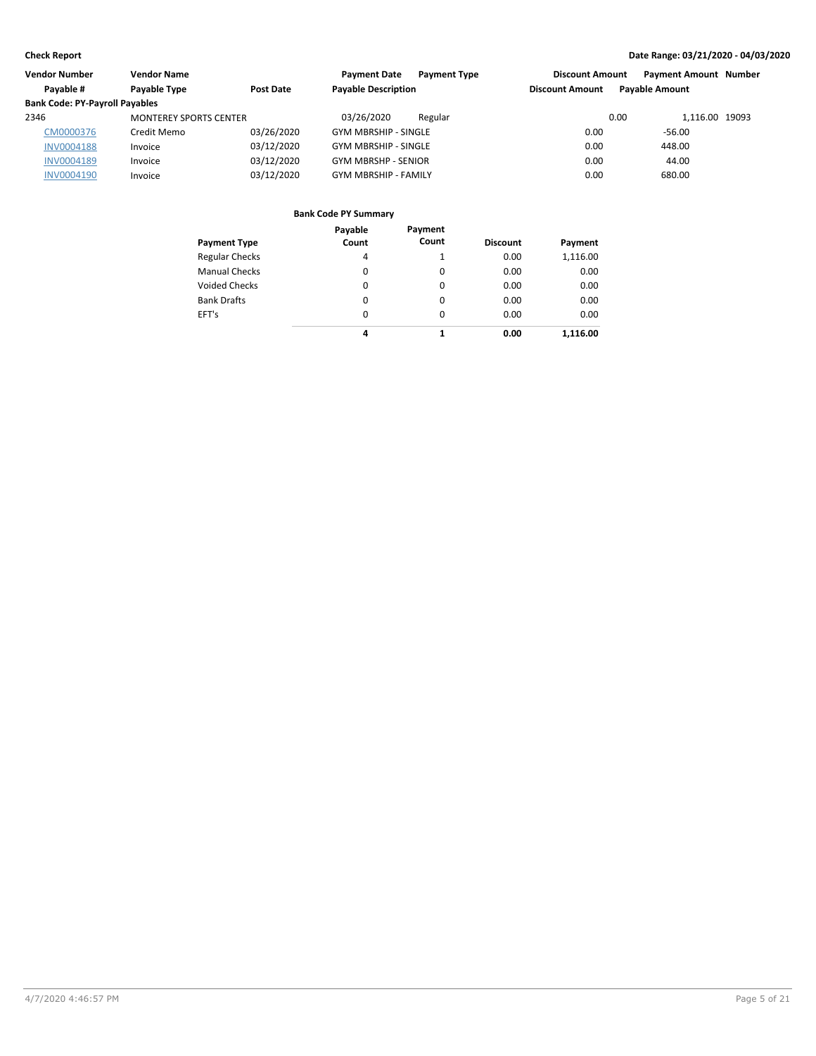| Vendor Number                         | <b>Vendor Name</b>            |            | <b>Payment Date</b><br><b>Payment Type</b> | <b>Discount Amount</b> | <b>Payment Amount Number</b> |  |
|---------------------------------------|-------------------------------|------------|--------------------------------------------|------------------------|------------------------------|--|
| Pavable #                             | Payable Type                  | Post Date  | <b>Payable Description</b>                 | <b>Discount Amount</b> | <b>Payable Amount</b>        |  |
| <b>Bank Code: PY-Payroll Payables</b> |                               |            |                                            |                        |                              |  |
| 2346                                  | <b>MONTEREY SPORTS CENTER</b> |            | 03/26/2020<br>Regular                      | 0.00                   | 1.116.00 19093               |  |
| CM0000376                             | Credit Memo                   | 03/26/2020 | <b>GYM MBRSHIP - SINGLE</b>                | 0.00                   | $-56.00$                     |  |
| <b>INV0004188</b>                     | Invoice                       | 03/12/2020 | <b>GYM MBRSHIP - SINGLE</b>                | 0.00                   | 448.00                       |  |
| INV0004189                            | Invoice                       | 03/12/2020 | <b>GYM MBRSHP - SENIOR</b>                 | 0.00                   | 44.00                        |  |
| <b>INV0004190</b>                     | Invoice                       | 03/12/2020 | <b>GYM MBRSHIP - FAMILY</b>                | 0.00                   | 680.00                       |  |

| Payment Type          | Payable<br>Count | Payment<br>Count | <b>Discount</b> | Payment  |
|-----------------------|------------------|------------------|-----------------|----------|
| <b>Regular Checks</b> | 4                | 1                | 0.00            | 1,116.00 |
| Manual Checks         | 0                | 0                | 0.00            | 0.00     |
| Voided Checks         | $\Omega$         | 0                | 0.00            | 0.00     |
| <b>Bank Drafts</b>    | 0                | 0                | 0.00            | 0.00     |
| EFT's                 | $\Omega$         | 0                | 0.00            | 0.00     |
|                       | 4                | 1                | 0.00            | 1.116.00 |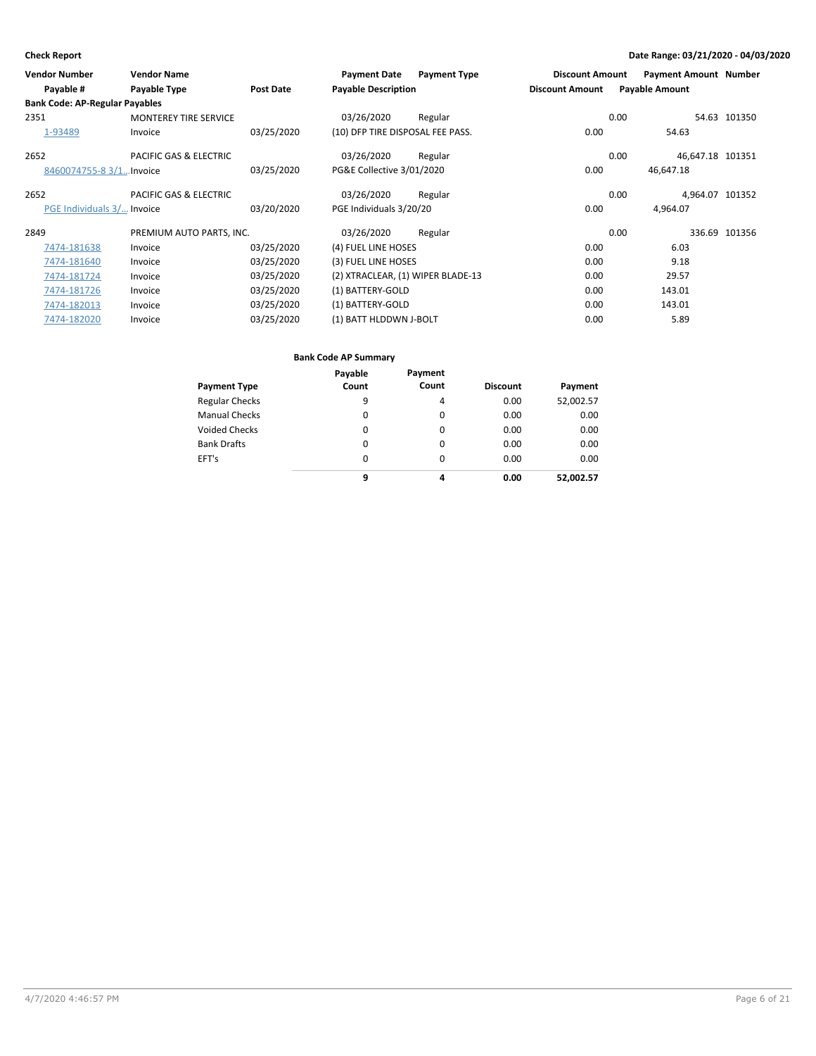|      | <b>Vendor Number</b>                  | <b>Vendor Name</b>                |                  | <b>Payment Date</b>               | <b>Payment Type</b> | <b>Discount Amount</b> |      | <b>Payment Amount Number</b> |               |
|------|---------------------------------------|-----------------------------------|------------------|-----------------------------------|---------------------|------------------------|------|------------------------------|---------------|
|      | Payable #                             | Payable Type                      | <b>Post Date</b> | <b>Payable Description</b>        |                     | <b>Discount Amount</b> |      | <b>Payable Amount</b>        |               |
|      | <b>Bank Code: AP-Regular Payables</b> |                                   |                  |                                   |                     |                        |      |                              |               |
| 2351 |                                       | <b>MONTEREY TIRE SERVICE</b>      |                  | 03/26/2020                        | Regular             |                        | 0.00 |                              | 54.63 101350  |
|      | 1-93489                               | Invoice                           | 03/25/2020       | (10) DFP TIRE DISPOSAL FEE PASS.  |                     | 0.00                   |      | 54.63                        |               |
| 2652 |                                       | <b>PACIFIC GAS &amp; ELECTRIC</b> |                  | 03/26/2020                        | Regular             |                        | 0.00 | 46,647.18 101351             |               |
|      | 8460074755-8 3/1 Invoice              |                                   | 03/25/2020       | PG&E Collective 3/01/2020         |                     | 0.00                   |      | 46,647.18                    |               |
| 2652 |                                       | <b>PACIFIC GAS &amp; ELECTRIC</b> |                  | 03/26/2020                        | Regular             |                        | 0.00 | 4,964.07 101352              |               |
|      | PGE Individuals 3/ Invoice            |                                   | 03/20/2020       | PGE Individuals 3/20/20           |                     | 0.00                   |      | 4,964.07                     |               |
| 2849 |                                       | PREMIUM AUTO PARTS, INC.          |                  | 03/26/2020                        | Regular             |                        | 0.00 |                              | 336.69 101356 |
|      | 7474-181638                           | Invoice                           | 03/25/2020       | (4) FUEL LINE HOSES               |                     | 0.00                   |      | 6.03                         |               |
|      | 7474-181640                           | Invoice                           | 03/25/2020       | (3) FUEL LINE HOSES               |                     | 0.00                   |      | 9.18                         |               |
|      | 7474-181724                           | Invoice                           | 03/25/2020       | (2) XTRACLEAR, (1) WIPER BLADE-13 |                     | 0.00                   |      | 29.57                        |               |
|      | 7474-181726                           | Invoice                           | 03/25/2020       | (1) BATTERY-GOLD                  |                     | 0.00                   |      | 143.01                       |               |
|      | 7474-182013                           | Invoice                           | 03/25/2020       | (1) BATTERY-GOLD                  |                     | 0.00                   |      | 143.01                       |               |
|      | 7474-182020                           | Invoice                           | 03/25/2020       | (1) BATT HLDDWN J-BOLT            |                     | 0.00                   |      | 5.89                         |               |

| <b>Payment Type</b>   | Payable<br>Count | Payment<br>Count | <b>Discount</b> | Payment   |
|-----------------------|------------------|------------------|-----------------|-----------|
| <b>Regular Checks</b> | 9                | 4                | 0.00            | 52,002.57 |
| <b>Manual Checks</b>  | 0                | 0                | 0.00            | 0.00      |
| <b>Voided Checks</b>  | $\Omega$         | $\Omega$         | 0.00            | 0.00      |
| <b>Bank Drafts</b>    | 0                | 0                | 0.00            | 0.00      |
| EFT's                 | $\Omega$         | $\Omega$         | 0.00            | 0.00      |
|                       | 9                | 4                | 0.00            | 52.002.57 |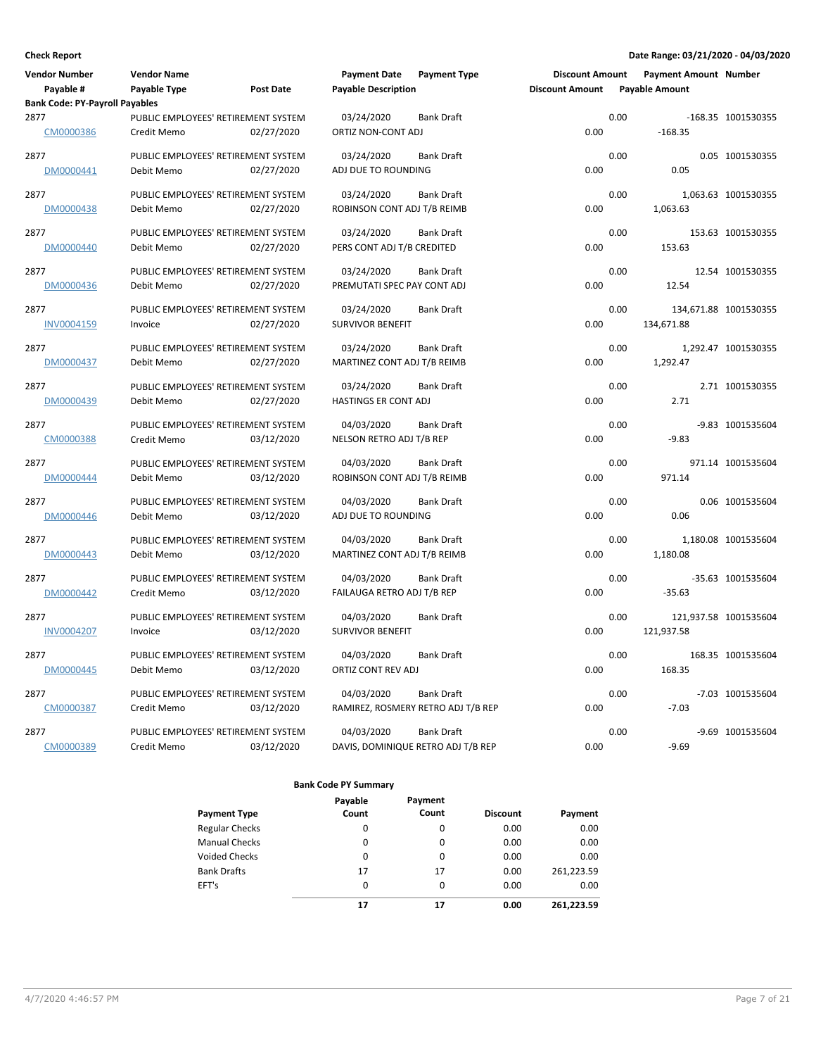| <b>Vendor Number</b>                  | <b>Vendor Name</b>                  |                  | <b>Payment Date</b>                   | <b>Payment Type</b> | <b>Discount Amount</b> |      | <b>Payment Amount Number</b> |                       |
|---------------------------------------|-------------------------------------|------------------|---------------------------------------|---------------------|------------------------|------|------------------------------|-----------------------|
| Payable #                             | Payable Type                        | <b>Post Date</b> | <b>Payable Description</b>            |                     | <b>Discount Amount</b> |      | <b>Payable Amount</b>        |                       |
| <b>Bank Code: PY-Payroll Payables</b> |                                     |                  |                                       |                     |                        |      |                              |                       |
| 2877                                  | PUBLIC EMPLOYEES' RETIREMENT SYSTEM |                  | 03/24/2020                            | <b>Bank Draft</b>   |                        | 0.00 |                              | -168.35 1001530355    |
| CM0000386                             | Credit Memo                         | 02/27/2020       | ORTIZ NON-CONT ADJ                    |                     | 0.00                   |      | $-168.35$                    |                       |
| 2877                                  | PUBLIC EMPLOYEES' RETIREMENT SYSTEM |                  | 03/24/2020                            | <b>Bank Draft</b>   |                        | 0.00 |                              | 0.05 1001530355       |
| DM0000441                             | Debit Memo                          | 02/27/2020       | ADJ DUE TO ROUNDING                   |                     | 0.00                   |      | 0.05                         |                       |
|                                       |                                     |                  |                                       |                     |                        |      |                              |                       |
| 2877                                  | PUBLIC EMPLOYEES' RETIREMENT SYSTEM |                  | 03/24/2020                            | <b>Bank Draft</b>   |                        | 0.00 |                              | 1,063.63 1001530355   |
| DM0000438                             | Debit Memo                          | 02/27/2020       | ROBINSON CONT ADJ T/B REIMB           |                     | 0.00                   |      | 1,063.63                     |                       |
| 2877                                  | PUBLIC EMPLOYEES' RETIREMENT SYSTEM |                  | 03/24/2020                            | <b>Bank Draft</b>   |                        | 0.00 |                              | 153.63 1001530355     |
| DM0000440                             | Debit Memo                          | 02/27/2020       | PERS CONT ADJ T/B CREDITED            |                     | 0.00                   |      | 153.63                       |                       |
|                                       |                                     |                  |                                       |                     |                        |      |                              |                       |
| 2877                                  | PUBLIC EMPLOYEES' RETIREMENT SYSTEM |                  | 03/24/2020                            | <b>Bank Draft</b>   |                        | 0.00 |                              | 12.54 1001530355      |
| DM0000436                             | Debit Memo                          | 02/27/2020       | PREMUTATI SPEC PAY CONT ADJ           |                     | 0.00                   |      | 12.54                        |                       |
| 2877                                  | PUBLIC EMPLOYEES' RETIREMENT SYSTEM |                  |                                       | <b>Bank Draft</b>   |                        | 0.00 |                              | 134,671.88 1001530355 |
| INV0004159                            | Invoice                             | 02/27/2020       | 03/24/2020<br><b>SURVIVOR BENEFIT</b> |                     | 0.00                   |      | 134,671.88                   |                       |
|                                       |                                     |                  |                                       |                     |                        |      |                              |                       |
| 2877                                  | PUBLIC EMPLOYEES' RETIREMENT SYSTEM |                  | 03/24/2020                            | <b>Bank Draft</b>   |                        | 0.00 |                              | 1,292.47 1001530355   |
| DM0000437                             | Debit Memo                          | 02/27/2020       | MARTINEZ CONT ADJ T/B REIMB           |                     | 0.00                   |      | 1,292.47                     |                       |
|                                       |                                     |                  |                                       |                     |                        |      |                              |                       |
| 2877                                  | PUBLIC EMPLOYEES' RETIREMENT SYSTEM |                  | 03/24/2020                            | <b>Bank Draft</b>   |                        | 0.00 |                              | 2.71 1001530355       |
| DM0000439                             | Debit Memo                          | 02/27/2020       | <b>HASTINGS ER CONT ADJ</b>           |                     | 0.00                   |      | 2.71                         |                       |
| 2877                                  | PUBLIC EMPLOYEES' RETIREMENT SYSTEM |                  | 04/03/2020                            | <b>Bank Draft</b>   |                        | 0.00 |                              | -9.83 1001535604      |
| CM0000388                             | Credit Memo                         | 03/12/2020       | NELSON RETRO ADJ T/B REP              |                     | 0.00                   |      | $-9.83$                      |                       |
|                                       |                                     |                  |                                       |                     |                        |      |                              |                       |
| 2877                                  | PUBLIC EMPLOYEES' RETIREMENT SYSTEM |                  | 04/03/2020                            | <b>Bank Draft</b>   |                        | 0.00 |                              | 971.14 1001535604     |
| DM0000444                             | Debit Memo                          | 03/12/2020       | ROBINSON CONT ADJ T/B REIMB           |                     | 0.00                   |      | 971.14                       |                       |
| 2877                                  | PUBLIC EMPLOYEES' RETIREMENT SYSTEM |                  | 04/03/2020                            | <b>Bank Draft</b>   |                        | 0.00 |                              | 0.06 1001535604       |
| DM0000446                             | Debit Memo                          | 03/12/2020       | ADJ DUE TO ROUNDING                   |                     | 0.00                   |      | 0.06                         |                       |
|                                       |                                     |                  |                                       |                     |                        |      |                              |                       |
| 2877                                  | PUBLIC EMPLOYEES' RETIREMENT SYSTEM |                  | 04/03/2020                            | <b>Bank Draft</b>   |                        | 0.00 |                              | 1,180.08 1001535604   |
| DM0000443                             | Debit Memo                          | 03/12/2020       | MARTINEZ CONT ADJ T/B REIMB           |                     | 0.00                   |      | 1,180.08                     |                       |
| 2877                                  | PUBLIC EMPLOYEES' RETIREMENT SYSTEM |                  | 04/03/2020                            | <b>Bank Draft</b>   |                        | 0.00 |                              | -35.63 1001535604     |
| DM0000442                             | Credit Memo                         | 03/12/2020       | FAILAUGA RETRO ADJ T/B REP            |                     | 0.00                   |      | $-35.63$                     |                       |
|                                       |                                     |                  |                                       |                     |                        |      |                              |                       |
| 2877                                  | PUBLIC EMPLOYEES' RETIREMENT SYSTEM |                  | 04/03/2020                            | Bank Draft          |                        | 0.00 |                              | 121,937.58 1001535604 |
| <b>INV0004207</b>                     | Invoice                             | 03/12/2020       | <b>SURVIVOR BENEFIT</b>               |                     | 0.00                   |      | 121,937.58                   |                       |
| 2877                                  | PUBLIC EMPLOYEES' RETIREMENT SYSTEM |                  | 04/03/2020                            | <b>Bank Draft</b>   |                        | 0.00 |                              | 168.35 1001535604     |
| DM0000445                             | Debit Memo                          | 03/12/2020       | ORTIZ CONT REV ADJ                    |                     | 0.00                   |      | 168.35                       |                       |
|                                       |                                     |                  |                                       |                     |                        |      |                              |                       |
| 2877                                  | PUBLIC EMPLOYEES' RETIREMENT SYSTEM |                  | 04/03/2020                            | <b>Bank Draft</b>   |                        | 0.00 |                              | -7.03 1001535604      |
| CM0000387                             | Credit Memo                         | 03/12/2020       | RAMIREZ, ROSMERY RETRO ADJ T/B REP    |                     | 0.00                   |      | $-7.03$                      |                       |
|                                       |                                     |                  |                                       |                     |                        |      |                              |                       |
| 2877                                  | PUBLIC EMPLOYEES' RETIREMENT SYSTEM |                  | 04/03/2020                            | <b>Bank Draft</b>   | 0.00                   | 0.00 | $-9.69$                      | -9.69 1001535604      |
| CM0000389                             | Credit Memo                         | 03/12/2020       | DAVIS, DOMINIQUE RETRO ADJ T/B REP    |                     |                        |      |                              |                       |

| <b>Payment Type</b>   | Payable<br>Count | Payment<br>Count | <b>Discount</b> | Payment    |
|-----------------------|------------------|------------------|-----------------|------------|
| <b>Regular Checks</b> | 0                | 0                | 0.00            | 0.00       |
| <b>Manual Checks</b>  | 0                | 0                | 0.00            | 0.00       |
| <b>Voided Checks</b>  | 0                | 0                | 0.00            | 0.00       |
| <b>Bank Drafts</b>    | 17               | 17               | 0.00            | 261,223.59 |
| EFT's                 | 0                | 0                | 0.00            | 0.00       |
|                       | 17               | 17               | 0.00            | 261,223.59 |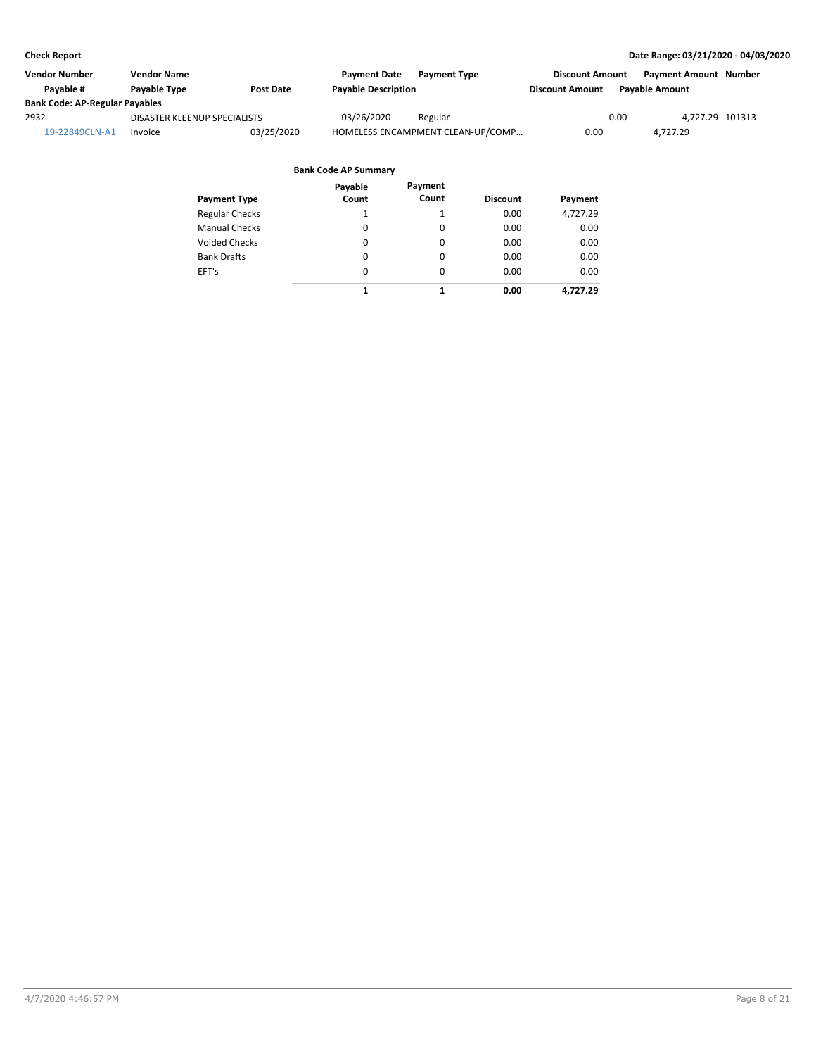| Vendor Number                         | Vendor Name                  |            | <b>Payment Date</b>        | <b>Payment Type</b>               | <b>Discount Amount</b> | Payment Amount Number   |  |
|---------------------------------------|------------------------------|------------|----------------------------|-----------------------------------|------------------------|-------------------------|--|
| Pavable #                             | <b>Pavable Type</b>          | Post Date  | <b>Payable Description</b> |                                   | <b>Discount Amount</b> | <b>Pavable Amount</b>   |  |
| <b>Bank Code: AP-Regular Payables</b> |                              |            |                            |                                   |                        |                         |  |
| 2932                                  | DISASTER KLEENUP SPECIALISTS |            | 03/26/2020                 | Regular                           |                        | 0.00<br>4.727.29 101313 |  |
| 19-22849CLN-A1                        | Invoice                      | 03/25/2020 |                            | HOMELESS ENCAMPMENT CLEAN-UP/COMP | 0.00                   | 4.727.29                |  |

|                       | Payable | Payment |                 |          |
|-----------------------|---------|---------|-----------------|----------|
| <b>Payment Type</b>   | Count   | Count   | <b>Discount</b> | Payment  |
| <b>Regular Checks</b> | 1       | 1       | 0.00            | 4,727.29 |
| <b>Manual Checks</b>  | 0       | 0       | 0.00            | 0.00     |
| <b>Voided Checks</b>  | 0       | 0       | 0.00            | 0.00     |
| <b>Bank Drafts</b>    | 0       | 0       | 0.00            | 0.00     |
| EFT's                 | 0       | 0       | 0.00            | 0.00     |
|                       | 1       | 1       | 0.00            | 4.727.29 |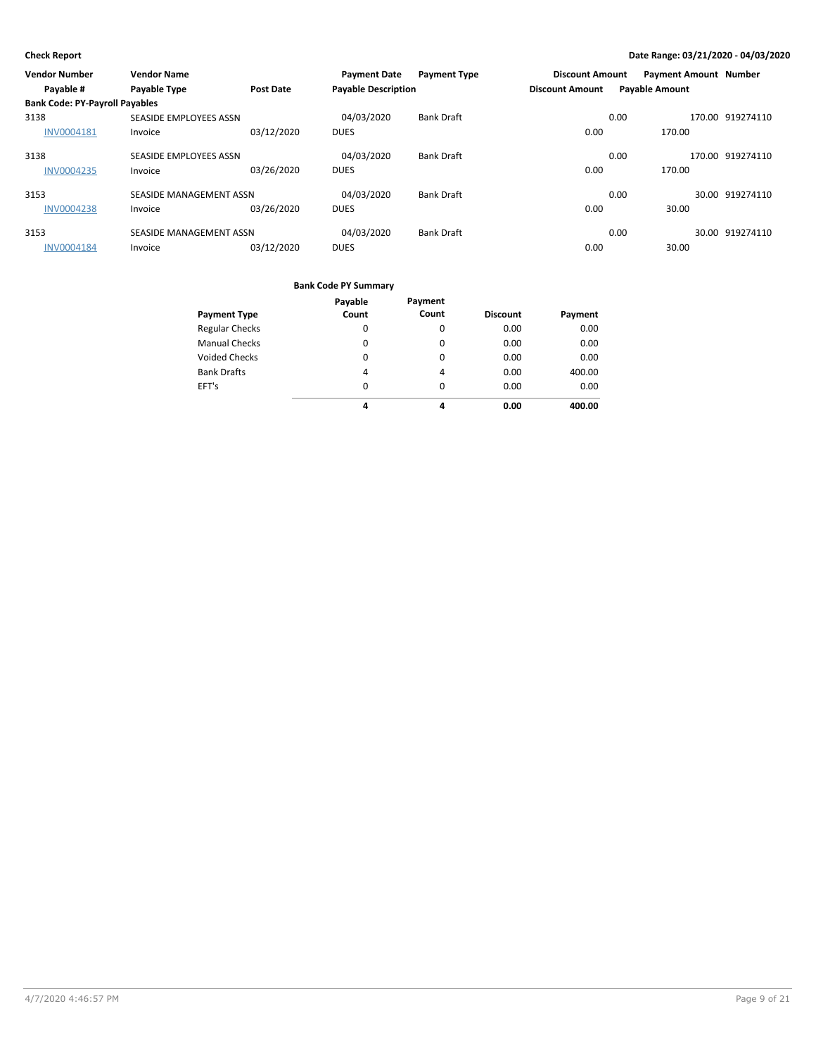| Vendor Number                         | <b>Vendor Name</b>      |                  | <b>Payment Date</b>        | <b>Payment Type</b> | <b>Discount Amount</b> |                       | <b>Payment Amount Number</b> |                  |
|---------------------------------------|-------------------------|------------------|----------------------------|---------------------|------------------------|-----------------------|------------------------------|------------------|
| Payable #                             | Payable Type            | <b>Post Date</b> | <b>Payable Description</b> |                     | <b>Discount Amount</b> | <b>Payable Amount</b> |                              |                  |
| <b>Bank Code: PY-Payroll Payables</b> |                         |                  |                            |                     |                        |                       |                              |                  |
| 3138                                  | SEASIDE EMPLOYEES ASSN  |                  | 04/03/2020                 | Bank Draft          |                        | 0.00                  |                              | 170.00 919274110 |
| <b>INV0004181</b>                     | Invoice                 | 03/12/2020       | <b>DUES</b>                |                     | 0.00                   |                       | 170.00                       |                  |
| 3138                                  | SEASIDE EMPLOYEES ASSN  |                  | 04/03/2020                 | <b>Bank Draft</b>   |                        | 0.00                  |                              | 170.00 919274110 |
| <b>INV0004235</b>                     | Invoice                 | 03/26/2020       | <b>DUES</b>                |                     | 0.00                   |                       | 170.00                       |                  |
| 3153                                  | SEASIDE MANAGEMENT ASSN |                  | 04/03/2020                 | <b>Bank Draft</b>   |                        | 0.00                  |                              | 30.00 919274110  |
| <b>INV0004238</b>                     | Invoice                 | 03/26/2020       | <b>DUES</b>                |                     | 0.00                   |                       | 30.00                        |                  |
| 3153                                  | SEASIDE MANAGEMENT ASSN |                  | 04/03/2020                 | <b>Bank Draft</b>   |                        | 0.00                  |                              | 30.00 919274110  |
| <b>INV0004184</b>                     | Invoice                 | 03/12/2020       | <b>DUES</b>                |                     | 0.00                   |                       | 30.00                        |                  |

| <b>Payment Type</b>   | Payable<br>Count | Payment<br>Count | <b>Discount</b> | Payment |
|-----------------------|------------------|------------------|-----------------|---------|
| <b>Regular Checks</b> | 0                | 0                | 0.00            | 0.00    |
| <b>Manual Checks</b>  | 0                | 0                | 0.00            | 0.00    |
| Voided Checks         | 0                | 0                | 0.00            | 0.00    |
| <b>Bank Drafts</b>    | 4                | 4                | 0.00            | 400.00  |
| EFT's                 | $\Omega$         | 0                | 0.00            | 0.00    |
|                       | 4                | 4                | 0.00            | 400.00  |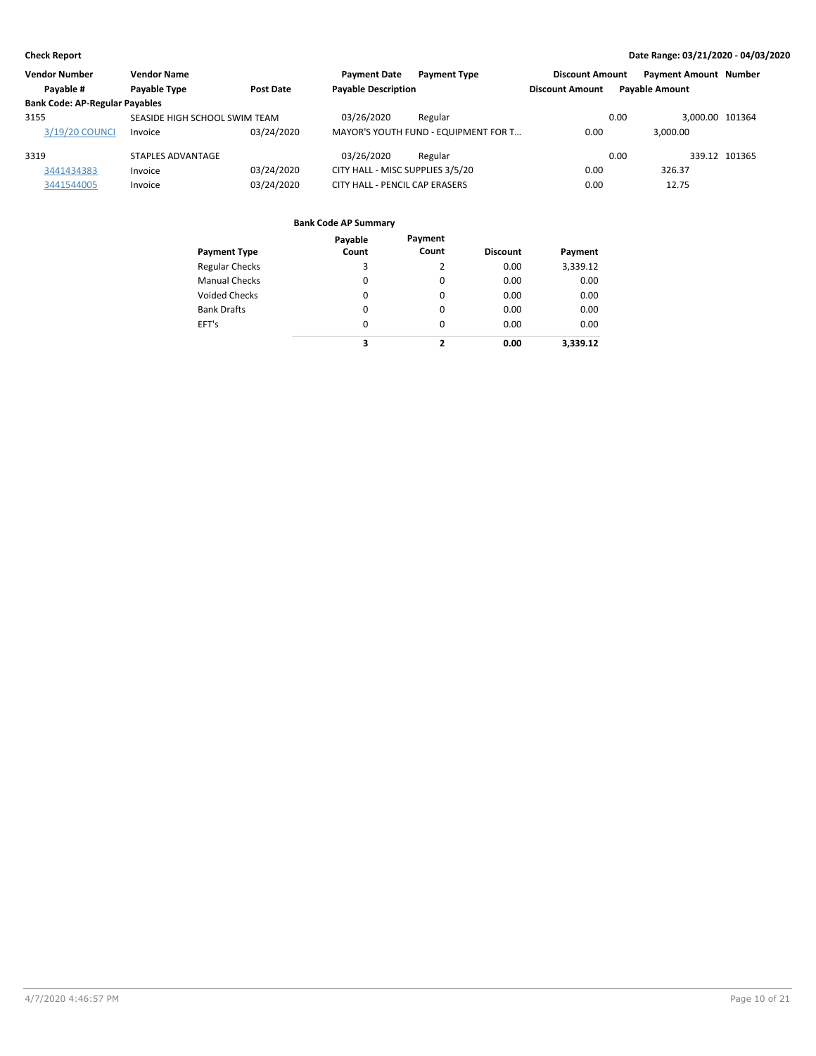| <b>Vendor Number</b><br><b>Vendor Name</b> |                               | <b>Payment Date</b> | <b>Payment Type</b>              | <b>Payment Amount Number</b><br><b>Discount Amount</b> |                        |                         |               |
|--------------------------------------------|-------------------------------|---------------------|----------------------------------|--------------------------------------------------------|------------------------|-------------------------|---------------|
| Payable #                                  | Payable Type                  | <b>Post Date</b>    | <b>Payable Description</b>       |                                                        | <b>Discount Amount</b> | <b>Payable Amount</b>   |               |
| <b>Bank Code: AP-Regular Payables</b>      |                               |                     |                                  |                                                        |                        |                         |               |
| 3155                                       | SEASIDE HIGH SCHOOL SWIM TEAM |                     | 03/26/2020                       | Regular                                                |                        | 3.000.00 101364<br>0.00 |               |
| 3/19/20 COUNCL                             | Invoice                       | 03/24/2020          |                                  | MAYOR'S YOUTH FUND - EQUIPMENT FOR T                   | 0.00                   | 3.000.00                |               |
| 3319                                       | STAPLES ADVANTAGE             |                     | 03/26/2020                       | Regular                                                |                        | 0.00                    | 339.12 101365 |
| 3441434383                                 | Invoice                       | 03/24/2020          | CITY HALL - MISC SUPPLIES 3/5/20 |                                                        | 0.00                   | 326.37                  |               |
| 3441544005                                 | Invoice                       | 03/24/2020          | CITY HALL - PENCIL CAP ERASERS   |                                                        | 0.00                   | 12.75                   |               |

|                       | Payable  | Payment  |                 |          |
|-----------------------|----------|----------|-----------------|----------|
| <b>Payment Type</b>   | Count    | Count    | <b>Discount</b> | Payment  |
| <b>Regular Checks</b> | 3        | 2        | 0.00            | 3,339.12 |
| <b>Manual Checks</b>  | $\Omega$ | 0        | 0.00            | 0.00     |
| <b>Voided Checks</b>  | 0        | $\Omega$ | 0.00            | 0.00     |
| <b>Bank Drafts</b>    | $\Omega$ | $\Omega$ | 0.00            | 0.00     |
| EFT's                 | $\Omega$ | $\Omega$ | 0.00            | 0.00     |
|                       | 3        | 2        | 0.00            | 3.339.12 |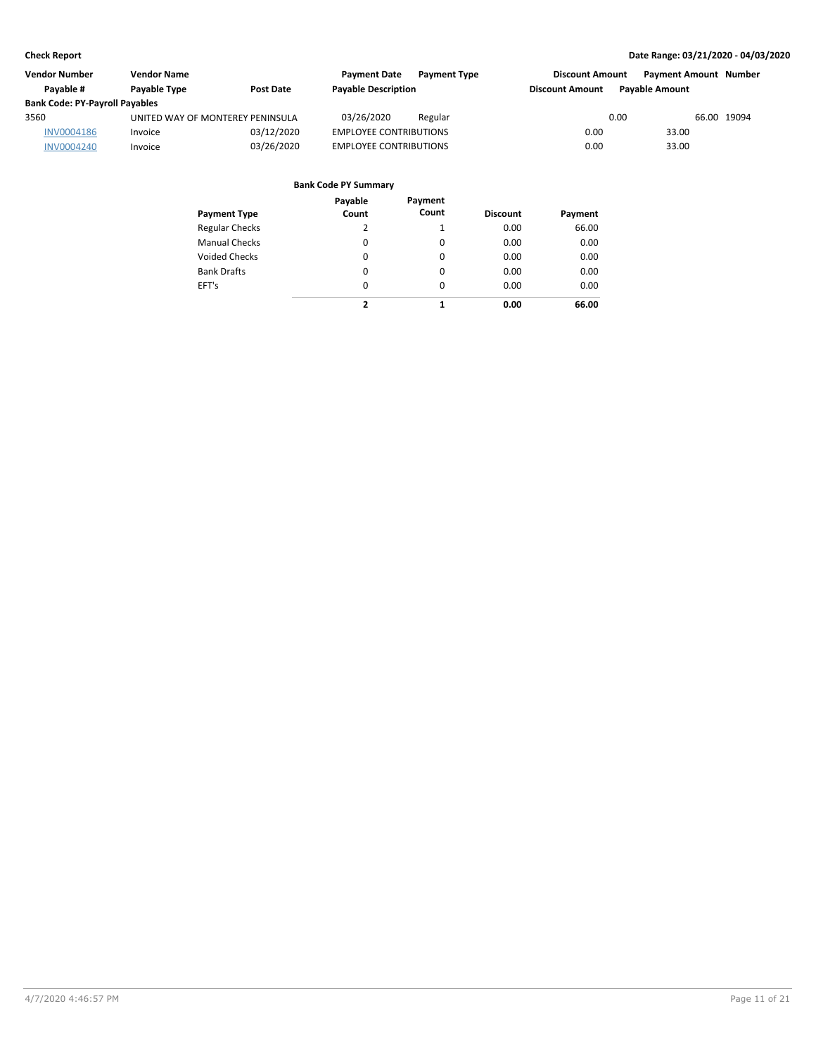| Vendor Number                         | <b>Vendor Name</b>               |                  | <b>Payment Date</b>           | <b>Payment Type</b> | <b>Discount Amount</b> |                       | <b>Payment Amount Number</b> |
|---------------------------------------|----------------------------------|------------------|-------------------------------|---------------------|------------------------|-----------------------|------------------------------|
| Pavable #                             | Payable Type                     | <b>Post Date</b> | <b>Payable Description</b>    |                     | <b>Discount Amount</b> | <b>Pavable Amount</b> |                              |
| <b>Bank Code: PY-Payroll Payables</b> |                                  |                  |                               |                     |                        |                       |                              |
| 3560                                  | UNITED WAY OF MONTEREY PENINSULA |                  | 03/26/2020                    | Regular             |                        | 0.00                  | 66.00 19094                  |
| <b>INV0004186</b>                     | Invoice                          | 03/12/2020       | <b>EMPLOYEE CONTRIBUTIONS</b> |                     | 0.00                   | 33.00                 |                              |
| <b>INV0004240</b>                     | Invoice                          | 03/26/2020       | <b>EMPLOYEE CONTRIBUTIONS</b> |                     | 0.00                   | 33.00                 |                              |

| Payment Type          | Payable<br>Count | Payment<br>Count | <b>Discount</b> | Payment |
|-----------------------|------------------|------------------|-----------------|---------|
| <b>Regular Checks</b> | 2                |                  | 0.00            | 66.00   |
| <b>Manual Checks</b>  | 0                | 0                | 0.00            | 0.00    |
| <b>Voided Checks</b>  | 0                | 0                | 0.00            | 0.00    |
| <b>Bank Drafts</b>    | 0                | 0                | 0.00            | 0.00    |
| EFT's                 | $\Omega$         | $\Omega$         | 0.00            | 0.00    |
|                       | 2                |                  | 0.00            | 66.00   |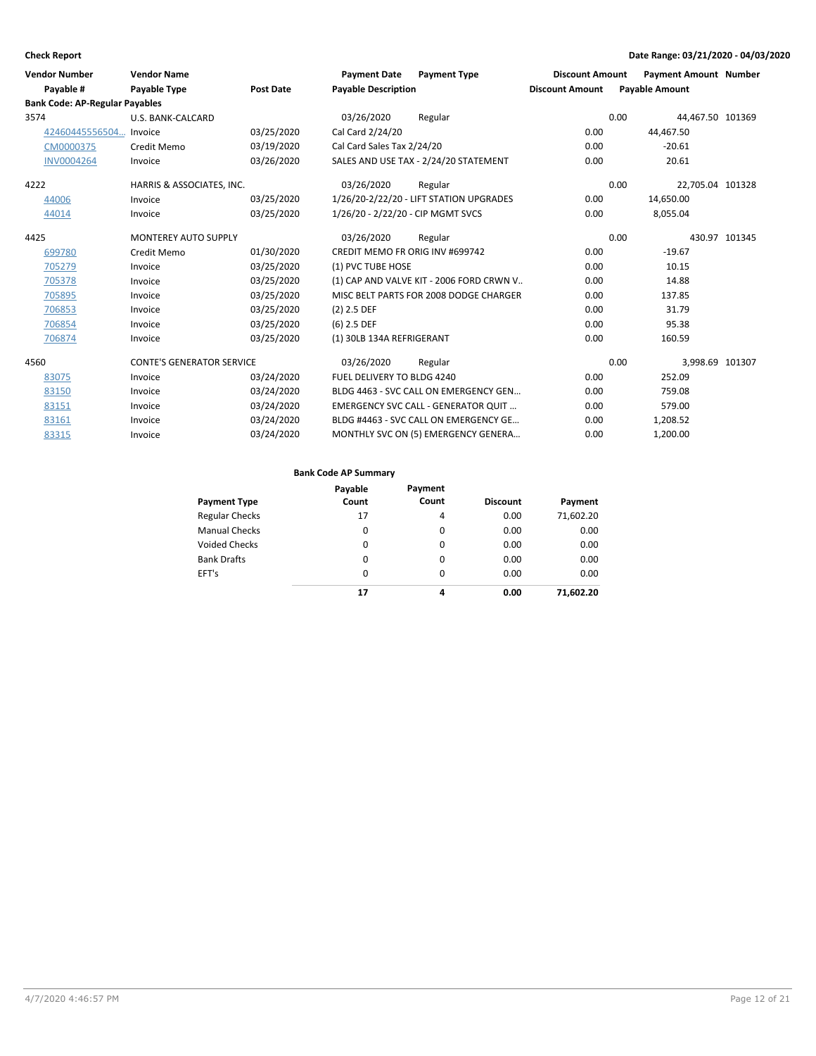| <b>Check Report</b>                   |                                  |                  |                                        |                                          |                        |      | Date Range: 03/21/2020 - 04/03/2020 |               |
|---------------------------------------|----------------------------------|------------------|----------------------------------------|------------------------------------------|------------------------|------|-------------------------------------|---------------|
| <b>Vendor Number</b>                  | <b>Vendor Name</b>               |                  | <b>Payment Date</b>                    | <b>Payment Type</b>                      | <b>Discount Amount</b> |      | <b>Payment Amount Number</b>        |               |
| Payable #                             | Payable Type                     | <b>Post Date</b> | <b>Payable Description</b>             |                                          | <b>Discount Amount</b> |      | <b>Payable Amount</b>               |               |
| <b>Bank Code: AP-Regular Payables</b> |                                  |                  |                                        |                                          |                        |      |                                     |               |
| 3574                                  | U.S. BANK-CALCARD                |                  | 03/26/2020                             | Regular                                  |                        | 0.00 | 44,467.50 101369                    |               |
| 42460445556504                        | Invoice                          | 03/25/2020       | Cal Card 2/24/20                       |                                          | 0.00                   |      | 44,467.50                           |               |
| CM0000375                             | Credit Memo                      | 03/19/2020       | Cal Card Sales Tax 2/24/20             |                                          | 0.00                   |      | $-20.61$                            |               |
| <b>INV0004264</b>                     | Invoice                          | 03/26/2020       |                                        | SALES AND USE TAX - 2/24/20 STATEMENT    | 0.00                   |      | 20.61                               |               |
| 4222                                  | HARRIS & ASSOCIATES, INC.        |                  | 03/26/2020                             | Regular                                  |                        | 0.00 | 22,705.04 101328                    |               |
| 44006                                 | Invoice                          | 03/25/2020       |                                        | 1/26/20-2/22/20 - LIFT STATION UPGRADES  | 0.00                   |      | 14,650.00                           |               |
| 44014                                 | Invoice                          | 03/25/2020       | 1/26/20 - 2/22/20 - CIP MGMT SVCS      |                                          | 0.00                   |      | 8,055.04                            |               |
| 4425                                  | <b>MONTEREY AUTO SUPPLY</b>      |                  | 03/26/2020                             | Regular                                  |                        | 0.00 |                                     | 430.97 101345 |
| 699780                                | Credit Memo                      | 01/30/2020       | <b>CREDIT MEMO FR ORIG INV #699742</b> |                                          | 0.00                   |      | $-19.67$                            |               |
| 705279                                | Invoice                          | 03/25/2020       | (1) PVC TUBE HOSE                      |                                          | 0.00                   |      | 10.15                               |               |
| 705378                                | Invoice                          | 03/25/2020       |                                        | (1) CAP AND VALVE KIT - 2006 FORD CRWN V | 0.00                   |      | 14.88                               |               |
| 705895                                | Invoice                          | 03/25/2020       |                                        | MISC BELT PARTS FOR 2008 DODGE CHARGER   | 0.00                   |      | 137.85                              |               |
| 706853                                | Invoice                          | 03/25/2020       | $(2)$ 2.5 DEF                          |                                          | 0.00                   |      | 31.79                               |               |
| 706854                                | Invoice                          | 03/25/2020       | $(6)$ 2.5 DEF                          |                                          | 0.00                   |      | 95.38                               |               |
| 706874                                | Invoice                          | 03/25/2020       | (1) 30LB 134A REFRIGERANT              |                                          | 0.00                   |      | 160.59                              |               |
| 4560                                  | <b>CONTE'S GENERATOR SERVICE</b> |                  | 03/26/2020                             | Regular                                  |                        | 0.00 | 3,998.69 101307                     |               |
| 83075                                 | Invoice                          | 03/24/2020       | FUEL DELIVERY TO BLDG 4240             |                                          | 0.00                   |      | 252.09                              |               |
| 83150                                 | Invoice                          | 03/24/2020       |                                        | BLDG 4463 - SVC CALL ON EMERGENCY GEN    | 0.00                   |      | 759.08                              |               |
| 83151                                 | Invoice                          | 03/24/2020       |                                        | EMERGENCY SVC CALL - GENERATOR QUIT      | 0.00                   |      | 579.00                              |               |
| 83161                                 | Invoice                          | 03/24/2020       |                                        | BLDG #4463 - SVC CALL ON EMERGENCY GE    | 0.00                   |      | 1,208.52                            |               |
| 83315                                 | Invoice                          | 03/24/2020       |                                        | MONTHLY SVC ON (5) EMERGENCY GENERA      | 0.00                   |      | 1,200.00                            |               |

| <b>Payment Type</b>   | Payable<br>Count | Payment<br>Count | <b>Discount</b> | Payment   |
|-----------------------|------------------|------------------|-----------------|-----------|
| <b>Regular Checks</b> | 17               | 4                | 0.00            | 71,602.20 |
| <b>Manual Checks</b>  | 0                | 0                | 0.00            | 0.00      |
| <b>Voided Checks</b>  | 0                | 0                | 0.00            | 0.00      |
| <b>Bank Drafts</b>    | 0                | 0                | 0.00            | 0.00      |
| EFT's                 | 0                | $\Omega$         | 0.00            | 0.00      |
|                       | 17               | 4                | 0.00            | 71.602.20 |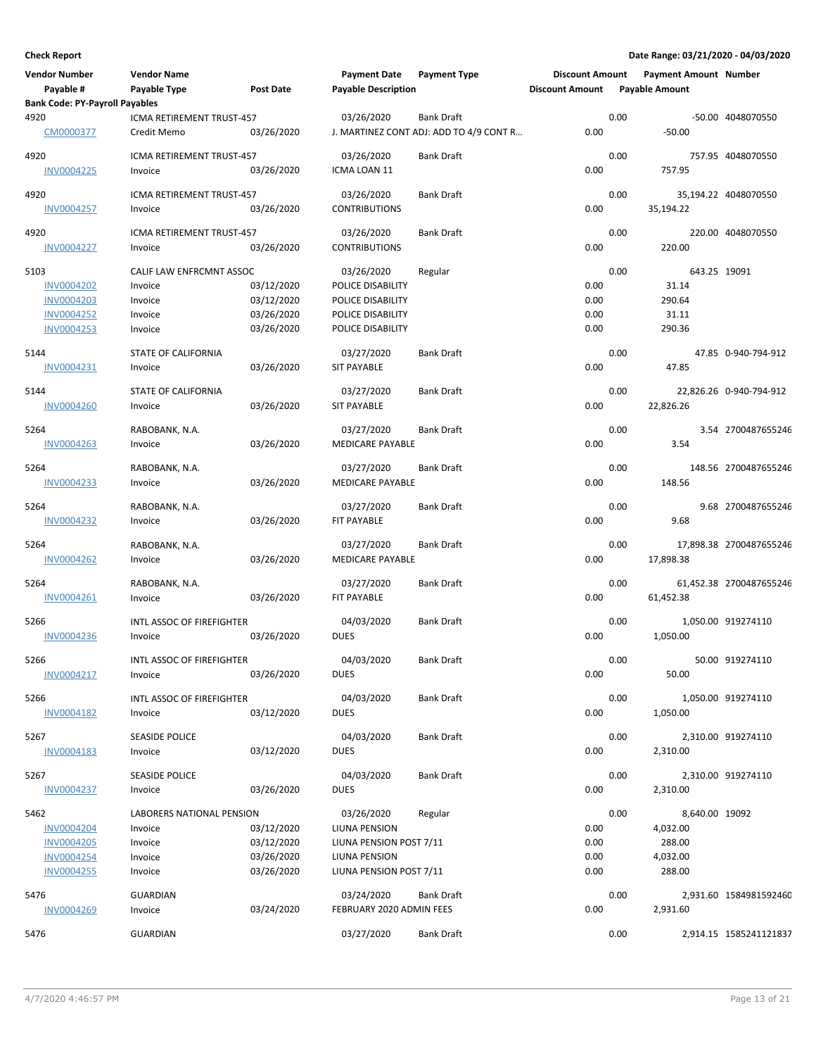| <b>Vendor Number</b><br>Payable #      | <b>Vendor Name</b><br>Payable Type       | <b>Post Date</b>         | <b>Payment Date</b><br><b>Payable Description</b> | <b>Payment Type</b>                                          | <b>Discount Amount</b><br><b>Discount Amount</b> |      | <b>Payment Amount Number</b><br><b>Payable Amount</b> |                         |
|----------------------------------------|------------------------------------------|--------------------------|---------------------------------------------------|--------------------------------------------------------------|--------------------------------------------------|------|-------------------------------------------------------|-------------------------|
| <b>Bank Code: PY-Payroll Payables</b>  |                                          |                          |                                                   |                                                              |                                                  |      |                                                       |                         |
| 4920<br>CM0000377                      | ICMA RETIREMENT TRUST-457<br>Credit Memo | 03/26/2020               | 03/26/2020                                        | <b>Bank Draft</b><br>J. MARTINEZ CONT ADJ: ADD TO 4/9 CONT R | 0.00                                             | 0.00 | $-50.00$                                              | -50.00 4048070550       |
| 4920<br>INV0004225                     | ICMA RETIREMENT TRUST-457<br>Invoice     | 03/26/2020               | 03/26/2020<br>ICMA LOAN 11                        | <b>Bank Draft</b>                                            | 0.00                                             | 0.00 | 757.95                                                | 757.95 4048070550       |
| 4920<br><b>INV0004257</b>              | ICMA RETIREMENT TRUST-457<br>Invoice     | 03/26/2020               | 03/26/2020<br><b>CONTRIBUTIONS</b>                | <b>Bank Draft</b>                                            | 0.00                                             | 0.00 | 35,194.22                                             | 35,194.22 4048070550    |
| 4920<br>INV0004227                     | ICMA RETIREMENT TRUST-457<br>Invoice     | 03/26/2020               | 03/26/2020<br><b>CONTRIBUTIONS</b>                | <b>Bank Draft</b>                                            | 0.00                                             | 0.00 | 220.00                                                | 220.00 4048070550       |
|                                        |                                          |                          |                                                   |                                                              |                                                  |      |                                                       |                         |
| 5103                                   | CALIF LAW ENFRCMNT ASSOC                 |                          | 03/26/2020                                        | Regular                                                      |                                                  | 0.00 | 643.25 19091                                          |                         |
| <b>INV0004202</b><br><b>INV0004203</b> | Invoice                                  | 03/12/2020<br>03/12/2020 | POLICE DISABILITY                                 |                                                              | 0.00<br>0.00                                     |      | 31.14<br>290.64                                       |                         |
| <b>INV0004252</b>                      | Invoice<br>Invoice                       | 03/26/2020               | POLICE DISABILITY<br>POLICE DISABILITY            |                                                              | 0.00                                             |      | 31.11                                                 |                         |
| INV0004253                             | Invoice                                  | 03/26/2020               | POLICE DISABILITY                                 |                                                              | 0.00                                             |      | 290.36                                                |                         |
|                                        |                                          |                          |                                                   |                                                              |                                                  |      |                                                       |                         |
| 5144<br>INV0004231                     | STATE OF CALIFORNIA<br>Invoice           | 03/26/2020               | 03/27/2020<br><b>SIT PAYABLE</b>                  | <b>Bank Draft</b>                                            | 0.00                                             | 0.00 | 47.85                                                 | 47.85 0-940-794-912     |
|                                        |                                          |                          |                                                   | <b>Bank Draft</b>                                            |                                                  |      |                                                       |                         |
| 5144<br><b>INV0004260</b>              | STATE OF CALIFORNIA<br>Invoice           | 03/26/2020               | 03/27/2020<br><b>SIT PAYABLE</b>                  |                                                              | 0.00                                             | 0.00 | 22,826.26                                             | 22,826.26 0-940-794-912 |
| 5264                                   |                                          |                          | 03/27/2020                                        | <b>Bank Draft</b>                                            |                                                  | 0.00 |                                                       | 3.54 2700487655246      |
| <b>INV0004263</b>                      | RABOBANK, N.A.<br>Invoice                | 03/26/2020               | <b>MEDICARE PAYABLE</b>                           |                                                              | 0.00                                             |      | 3.54                                                  |                         |
| 5264                                   | RABOBANK, N.A.                           |                          | 03/27/2020                                        | <b>Bank Draft</b>                                            |                                                  | 0.00 |                                                       | 148.56 2700487655246    |
| INV0004233                             | Invoice                                  | 03/26/2020               | <b>MEDICARE PAYABLE</b>                           |                                                              | 0.00                                             |      | 148.56                                                |                         |
|                                        |                                          |                          |                                                   |                                                              |                                                  |      |                                                       |                         |
| 5264                                   | RABOBANK, N.A.                           |                          | 03/27/2020                                        | <b>Bank Draft</b>                                            |                                                  | 0.00 | 9.68                                                  | 9.68 2700487655246      |
| <b>INV0004232</b>                      | Invoice                                  | 03/26/2020               | <b>FIT PAYABLE</b>                                |                                                              | 0.00                                             |      |                                                       |                         |
| 5264                                   | RABOBANK, N.A.                           |                          | 03/27/2020                                        | <b>Bank Draft</b>                                            |                                                  | 0.00 |                                                       | 17,898.38 2700487655246 |
| INV0004262                             | Invoice                                  | 03/26/2020               | <b>MEDICARE PAYABLE</b>                           |                                                              | 0.00                                             |      | 17,898.38                                             |                         |
| 5264                                   | RABOBANK, N.A.                           |                          | 03/27/2020                                        | Bank Draft                                                   |                                                  | 0.00 |                                                       | 61,452.38 2700487655246 |
| INV0004261                             | Invoice                                  | 03/26/2020               | <b>FIT PAYABLE</b>                                |                                                              | 0.00                                             |      | 61,452.38                                             |                         |
| 5266                                   | INTL ASSOC OF FIREFIGHTER                |                          | 04/03/2020                                        | Bank Draft                                                   |                                                  | 0.00 |                                                       | 1,050.00 919274110      |
| <b>INV0004236</b>                      | Invoice                                  | 03/26/2020               | <b>DUES</b>                                       |                                                              | 0.00                                             |      | 1,050.00                                              |                         |
| 5266                                   | INTL ASSOC OF FIREFIGHTER                |                          | 04/03/2020                                        | Bank Draft                                                   |                                                  | 0.00 |                                                       | 50.00 919274110         |
| INV0004217                             | Invoice                                  | 03/26/2020               | <b>DUES</b>                                       |                                                              | 0.00                                             |      | 50.00                                                 |                         |
| 5266                                   | INTL ASSOC OF FIREFIGHTER                |                          | 04/03/2020                                        | <b>Bank Draft</b>                                            |                                                  | 0.00 |                                                       | 1,050.00 919274110      |
| INV0004182                             | Invoice                                  | 03/12/2020               | <b>DUES</b>                                       |                                                              | 0.00                                             |      | 1,050.00                                              |                         |
|                                        |                                          |                          |                                                   |                                                              |                                                  |      |                                                       |                         |
| 5267<br>INV0004183                     | <b>SEASIDE POLICE</b><br>Invoice         | 03/12/2020               | 04/03/2020<br><b>DUES</b>                         | <b>Bank Draft</b>                                            | 0.00                                             | 0.00 | 2,310.00                                              | 2,310.00 919274110      |
|                                        |                                          |                          |                                                   |                                                              |                                                  |      |                                                       |                         |
| 5267                                   | SEASIDE POLICE                           | 03/26/2020               | 04/03/2020                                        | <b>Bank Draft</b>                                            |                                                  | 0.00 |                                                       | 2,310.00 919274110      |
| <b>INV0004237</b>                      | Invoice                                  |                          | <b>DUES</b>                                       |                                                              | 0.00                                             |      | 2,310.00                                              |                         |
| 5462                                   | LABORERS NATIONAL PENSION                |                          | 03/26/2020                                        | Regular                                                      |                                                  | 0.00 | 8,640.00 19092                                        |                         |
| <b>INV0004204</b>                      | Invoice                                  | 03/12/2020               | LIUNA PENSION                                     |                                                              | 0.00                                             |      | 4,032.00                                              |                         |
| <b>INV0004205</b>                      | Invoice                                  | 03/12/2020               | LIUNA PENSION POST 7/11                           |                                                              | 0.00                                             |      | 288.00                                                |                         |
| INV0004254                             | Invoice                                  | 03/26/2020               | LIUNA PENSION                                     |                                                              | 0.00                                             |      | 4,032.00                                              |                         |
| INV0004255                             | Invoice                                  | 03/26/2020               | LIUNA PENSION POST 7/11                           |                                                              | 0.00                                             |      | 288.00                                                |                         |
| 5476                                   | <b>GUARDIAN</b>                          |                          | 03/24/2020                                        | <b>Bank Draft</b>                                            |                                                  | 0.00 |                                                       | 2,931.60 1584981592460  |
| <b>INV0004269</b>                      | Invoice                                  | 03/24/2020               | FEBRUARY 2020 ADMIN FEES                          |                                                              | 0.00                                             |      | 2,931.60                                              |                         |
| 5476                                   | GUARDIAN                                 |                          | 03/27/2020                                        | Bank Draft                                                   |                                                  | 0.00 |                                                       | 2,914.15 1585241121837  |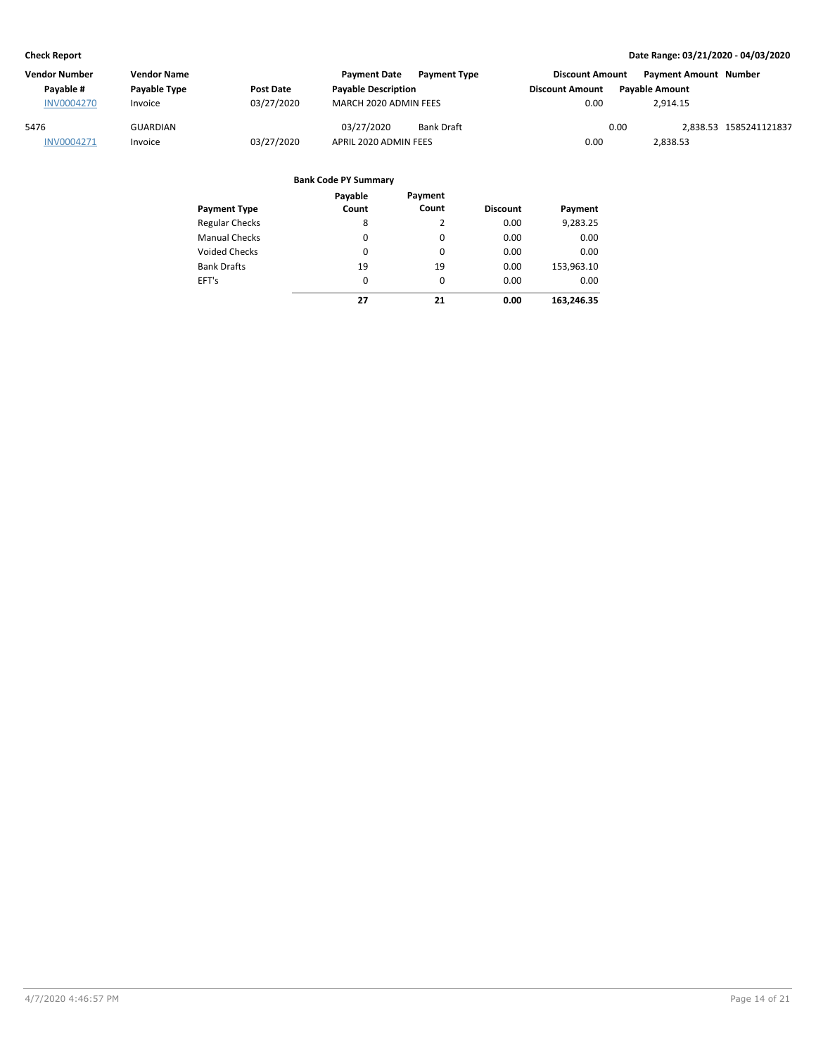| <b>Vendor Number</b> | <b>Vendor Name</b> |            | <b>Payment Date</b>        | <b>Payment Type</b> | <b>Discount Amount</b> | <b>Payment Amount Number</b> |                        |
|----------------------|--------------------|------------|----------------------------|---------------------|------------------------|------------------------------|------------------------|
| Pavable #            | Payable Type       | Post Date  | <b>Payable Description</b> |                     | <b>Discount Amount</b> | <b>Payable Amount</b>        |                        |
| <b>INV0004270</b>    | Invoice            | 03/27/2020 | MARCH 2020 ADMIN FEES      |                     | 0.00                   | 2.914.15                     |                        |
| 5476                 | <b>GUARDIAN</b>    |            | 03/27/2020                 | <b>Bank Draft</b>   |                        | 0.00                         | 2.838.53 1585241121837 |
| INV0004271           | Invoice            | 03/27/2020 | APRIL 2020 ADMIN FEES      |                     | 0.00                   | 2,838.53                     |                        |

|                       | Payable  | Payment  |                 |            |
|-----------------------|----------|----------|-----------------|------------|
| <b>Payment Type</b>   | Count    | Count    | <b>Discount</b> | Payment    |
| <b>Regular Checks</b> | 8        | 2        | 0.00            | 9,283.25   |
| <b>Manual Checks</b>  | $\Omega$ | 0        | 0.00            | 0.00       |
| <b>Voided Checks</b>  | $\Omega$ | 0        | 0.00            | 0.00       |
| <b>Bank Drafts</b>    | 19       | 19       | 0.00            | 153,963.10 |
| EFT's                 | $\Omega$ | $\Omega$ | 0.00            | 0.00       |
|                       | 27       | 21       | 0.00            | 163,246.35 |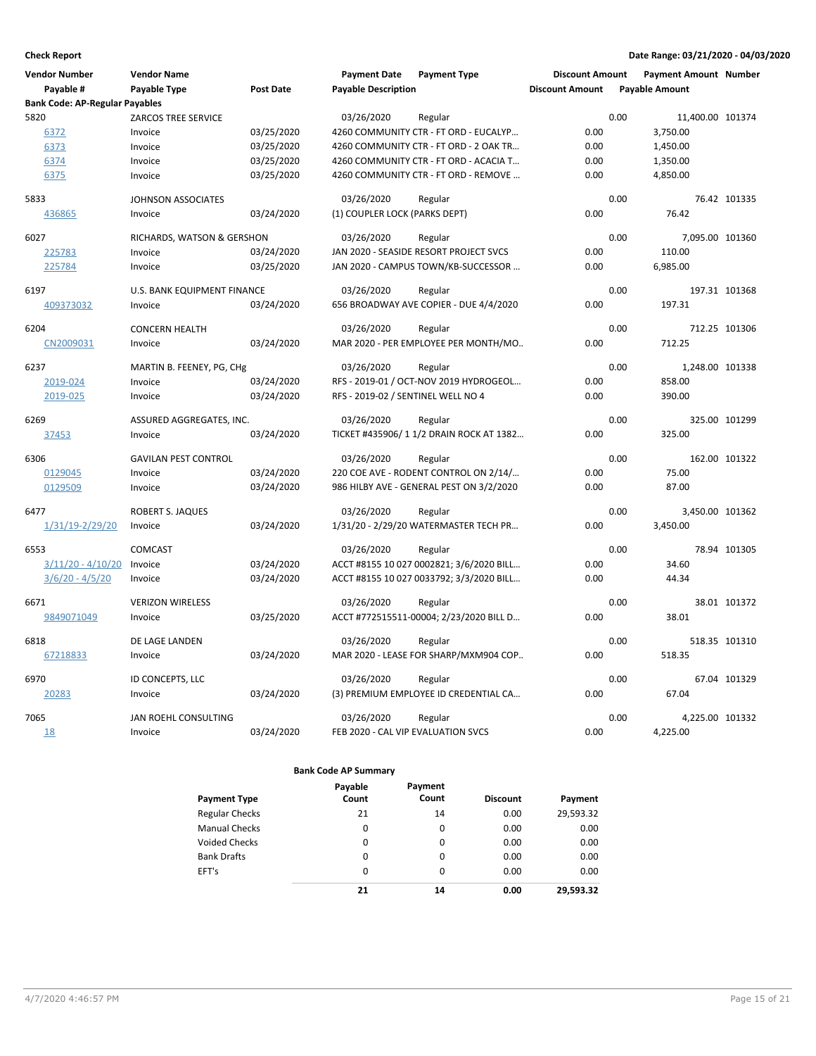| <b>Vendor Number</b><br>Payable #     | <b>Vendor Name</b><br>Payable Type | <b>Post Date</b> | <b>Payment Date</b><br><b>Payable Description</b> | <b>Payment Type</b>                      | <b>Discount Amount</b><br><b>Discount Amount</b> | <b>Payable Amount</b> | <b>Payment Amount Number</b> |               |
|---------------------------------------|------------------------------------|------------------|---------------------------------------------------|------------------------------------------|--------------------------------------------------|-----------------------|------------------------------|---------------|
| <b>Bank Code: AP-Regular Payables</b> |                                    |                  |                                                   |                                          |                                                  |                       |                              |               |
| 5820                                  | <b>ZARCOS TREE SERVICE</b>         |                  | 03/26/2020                                        | Regular                                  |                                                  | 0.00                  | 11,400.00 101374             |               |
| 6372                                  | Invoice                            | 03/25/2020       |                                                   | 4260 COMMUNITY CTR - FT ORD - EUCALYP    | 0.00                                             | 3,750.00              |                              |               |
| 6373                                  | Invoice                            | 03/25/2020       |                                                   | 4260 COMMUNITY CTR - FT ORD - 2 OAK TR   | 0.00                                             | 1,450.00              |                              |               |
| 6374                                  | Invoice                            | 03/25/2020       |                                                   | 4260 COMMUNITY CTR - FT ORD - ACACIA T   | 0.00                                             | 1,350.00              |                              |               |
| 6375                                  | Invoice                            | 03/25/2020       |                                                   | 4260 COMMUNITY CTR - FT ORD - REMOVE     | 0.00                                             |                       | 4,850.00                     |               |
| 5833                                  | <b>JOHNSON ASSOCIATES</b>          |                  | 03/26/2020                                        | Regular                                  |                                                  | 0.00                  |                              | 76.42 101335  |
| 436865                                | Invoice                            | 03/24/2020       | (1) COUPLER LOCK (PARKS DEPT)                     |                                          | 0.00                                             |                       | 76.42                        |               |
| 6027                                  | RICHARDS, WATSON & GERSHON         |                  | 03/26/2020                                        | Regular                                  |                                                  | 0.00                  | 7,095.00 101360              |               |
| 225783                                | Invoice                            | 03/24/2020       |                                                   | JAN 2020 - SEASIDE RESORT PROJECT SVCS   | 0.00                                             |                       | 110.00                       |               |
| 225784                                | Invoice                            | 03/25/2020       |                                                   | JAN 2020 - CAMPUS TOWN/KB-SUCCESSOR      | 0.00                                             | 6,985.00              |                              |               |
| 6197                                  | U.S. BANK EQUIPMENT FINANCE        |                  | 03/26/2020                                        | Regular                                  |                                                  | 0.00                  |                              | 197.31 101368 |
| 409373032                             | Invoice                            | 03/24/2020       |                                                   | 656 BROADWAY AVE COPIER - DUE 4/4/2020   | 0.00                                             |                       | 197.31                       |               |
| 6204                                  | <b>CONCERN HEALTH</b>              |                  | 03/26/2020                                        | Regular                                  |                                                  | 0.00                  |                              | 712.25 101306 |
| CN2009031                             | Invoice                            | 03/24/2020       |                                                   | MAR 2020 - PER EMPLOYEE PER MONTH/MO     | 0.00                                             |                       | 712.25                       |               |
| 6237                                  | MARTIN B. FEENEY, PG, CHg          |                  | 03/26/2020                                        | Regular                                  |                                                  | 0.00                  | 1,248.00 101338              |               |
| 2019-024                              | Invoice                            | 03/24/2020       |                                                   | RFS - 2019-01 / OCT-NOV 2019 HYDROGEOL   | 0.00                                             |                       | 858.00                       |               |
| 2019-025                              | Invoice                            | 03/24/2020       | RFS - 2019-02 / SENTINEL WELL NO 4                |                                          | 0.00                                             |                       | 390.00                       |               |
| 6269                                  | ASSURED AGGREGATES, INC.           |                  | 03/26/2020                                        | Regular                                  |                                                  | 0.00                  |                              | 325.00 101299 |
| 37453                                 | Invoice                            | 03/24/2020       |                                                   | TICKET #435906/11/2 DRAIN ROCK AT 1382   | 0.00                                             |                       | 325.00                       |               |
| 6306                                  | <b>GAVILAN PEST CONTROL</b>        |                  | 03/26/2020                                        | Regular                                  |                                                  | 0.00                  |                              | 162.00 101322 |
| 0129045                               | Invoice                            | 03/24/2020       |                                                   | 220 COE AVE - RODENT CONTROL ON 2/14/    | 0.00                                             |                       | 75.00                        |               |
| 0129509                               | Invoice                            | 03/24/2020       |                                                   | 986 HILBY AVE - GENERAL PEST ON 3/2/2020 | 0.00                                             |                       | 87.00                        |               |
| 6477                                  | <b>ROBERT S. JAQUES</b>            |                  | 03/26/2020                                        | Regular                                  |                                                  | 0.00                  | 3,450.00 101362              |               |
| 1/31/19-2/29/20                       | Invoice                            | 03/24/2020       |                                                   | 1/31/20 - 2/29/20 WATERMASTER TECH PR    | 0.00                                             |                       | 3,450.00                     |               |
| 6553                                  | <b>COMCAST</b>                     |                  | 03/26/2020                                        | Regular                                  |                                                  | 0.00                  |                              | 78.94 101305  |
| $3/11/20 - 4/10/20$                   | Invoice                            | 03/24/2020       |                                                   | ACCT #8155 10 027 0002821; 3/6/2020 BILL | 0.00                                             |                       | 34.60                        |               |
| $3/6/20 - 4/5/20$                     | Invoice                            | 03/24/2020       |                                                   | ACCT #8155 10 027 0033792; 3/3/2020 BILL | 0.00                                             |                       | 44.34                        |               |
| 6671                                  | <b>VERIZON WIRELESS</b>            |                  | 03/26/2020                                        | Regular                                  |                                                  | 0.00                  |                              | 38.01 101372  |
| 9849071049                            | Invoice                            | 03/25/2020       |                                                   | ACCT #772515511-00004; 2/23/2020 BILL D  | 0.00                                             |                       | 38.01                        |               |
| 6818                                  | DE LAGE LANDEN                     |                  | 03/26/2020                                        | Regular                                  |                                                  | 0.00                  |                              | 518.35 101310 |
| 67218833                              | Invoice                            | 03/24/2020       |                                                   | MAR 2020 - LEASE FOR SHARP/MXM904 COP    | 0.00                                             |                       | 518.35                       |               |
| 6970                                  | ID CONCEPTS, LLC                   |                  | 03/26/2020                                        | Regular                                  |                                                  | 0.00                  |                              | 67.04 101329  |
| 20283                                 | Invoice                            | 03/24/2020       |                                                   | (3) PREMIUM EMPLOYEE ID CREDENTIAL CA    | 0.00                                             |                       | 67.04                        |               |
| 7065                                  | <b>JAN ROEHL CONSULTING</b>        |                  | 03/26/2020                                        | Regular                                  |                                                  | 0.00                  | 4,225.00 101332              |               |
| <u>18</u>                             | Invoice                            | 03/24/2020       | FEB 2020 - CAL VIP EVALUATION SVCS                |                                          | 0.00                                             |                       | 4,225.00                     |               |

| <b>Payment Type</b>   | Payable<br>Count | Payment<br>Count | <b>Discount</b> | Payment   |
|-----------------------|------------------|------------------|-----------------|-----------|
| <b>Regular Checks</b> | 21               | 14               | 0.00            | 29,593.32 |
| <b>Manual Checks</b>  | 0                | 0                | 0.00            | 0.00      |
| <b>Voided Checks</b>  | 0                | 0                | 0.00            | 0.00      |
| <b>Bank Drafts</b>    | 0                | 0                | 0.00            | 0.00      |
| EFT's                 | 0                | 0                | 0.00            | 0.00      |
|                       | 21               | 14               | 0.00            | 29.593.32 |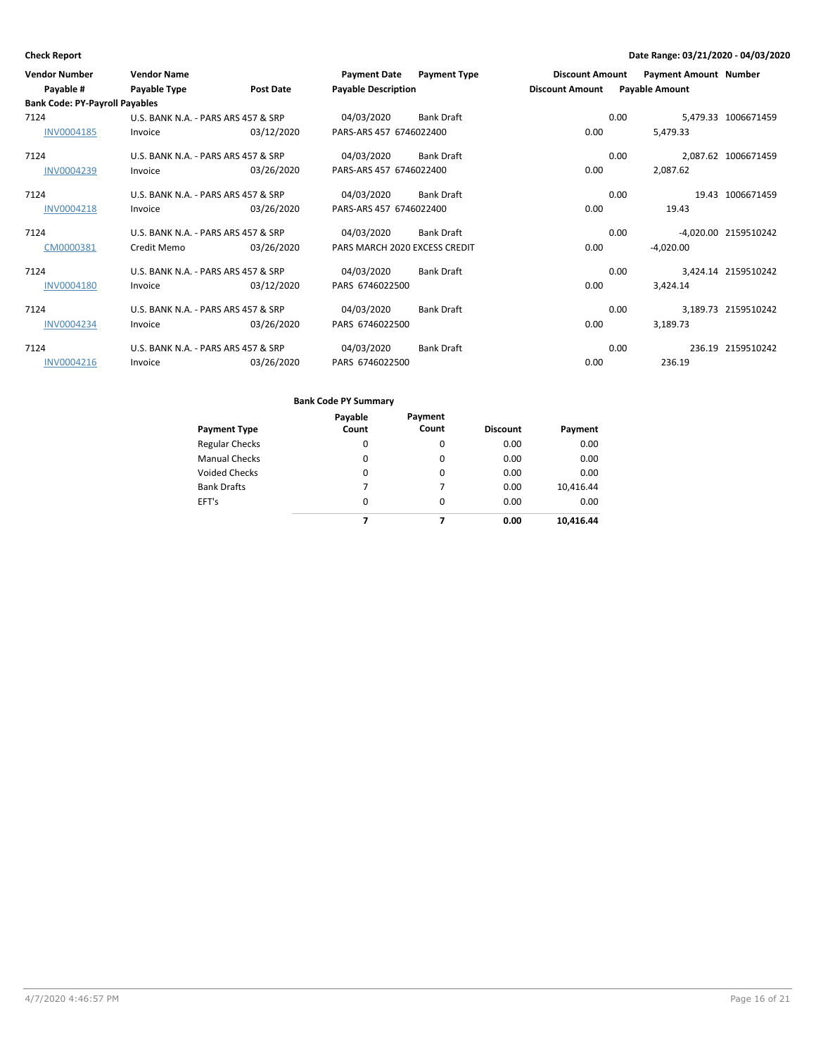| <b>Vendor Number</b>                  | <b>Vendor Name</b>                  |            | Payment Date Payment Type     |                   | <b>Discount Amount</b> |                       | <b>Payment Amount Number</b> |                      |
|---------------------------------------|-------------------------------------|------------|-------------------------------|-------------------|------------------------|-----------------------|------------------------------|----------------------|
| Payable #                             | Payable Type                        | Post Date  | <b>Payable Description</b>    |                   | <b>Discount Amount</b> | <b>Payable Amount</b> |                              |                      |
| <b>Bank Code: PY-Payroll Payables</b> |                                     |            |                               |                   |                        |                       |                              |                      |
| 7124                                  | U.S. BANK N.A. - PARS ARS 457 & SRP |            | 04/03/2020                    | <b>Bank Draft</b> |                        | 0.00                  |                              | 5,479.33 1006671459  |
| <b>INV0004185</b>                     | Invoice                             | 03/12/2020 | PARS-ARS 457 6746022400       |                   | 0.00                   |                       | 5,479.33                     |                      |
| 7124                                  | U.S. BANK N.A. - PARS ARS 457 & SRP |            | 04/03/2020                    | Bank Draft        |                        | 0.00                  |                              | 2,087.62 1006671459  |
| <b>INV0004239</b>                     | Invoice                             | 03/26/2020 | PARS-ARS 457 6746022400       |                   | 0.00                   |                       | 2,087.62                     |                      |
| 7124                                  | U.S. BANK N.A. - PARS ARS 457 & SRP |            | 04/03/2020                    | <b>Bank Draft</b> |                        | 0.00                  |                              | 19.43 1006671459     |
| <b>INV0004218</b>                     | Invoice                             | 03/26/2020 | PARS-ARS 457 6746022400       |                   | 0.00                   |                       | 19.43                        |                      |
| 7124                                  | U.S. BANK N.A. - PARS ARS 457 & SRP |            | 04/03/2020                    | <b>Bank Draft</b> |                        | 0.00                  |                              | -4,020.00 2159510242 |
| CM0000381                             | Credit Memo                         | 03/26/2020 | PARS MARCH 2020 EXCESS CREDIT |                   | 0.00                   |                       | $-4,020.00$                  |                      |
| 7124                                  | U.S. BANK N.A. - PARS ARS 457 & SRP |            | 04/03/2020                    | <b>Bank Draft</b> |                        | 0.00                  |                              | 3,424.14 2159510242  |
| <b>INV0004180</b>                     | Invoice                             | 03/12/2020 | PARS 6746022500               |                   | 0.00                   |                       | 3,424.14                     |                      |
| 7124                                  | U.S. BANK N.A. - PARS ARS 457 & SRP |            | 04/03/2020                    | <b>Bank Draft</b> |                        | 0.00                  |                              | 3,189.73 2159510242  |
| <b>INV0004234</b>                     | Invoice                             | 03/26/2020 | PARS 6746022500               |                   | 0.00                   |                       | 3.189.73                     |                      |
| 7124                                  | U.S. BANK N.A. - PARS ARS 457 & SRP |            | 04/03/2020                    | Bank Draft        |                        | 0.00                  |                              | 236.19 2159510242    |
| <b>INV0004216</b>                     | Invoice                             | 03/26/2020 | PARS 6746022500               |                   | 0.00                   |                       | 236.19                       |                      |

| <b>Payment Type</b>   | Payable<br>Count | Payment<br>Count | <b>Discount</b> | Payment   |
|-----------------------|------------------|------------------|-----------------|-----------|
| <b>Regular Checks</b> | 0                | 0                | 0.00            | 0.00      |
| <b>Manual Checks</b>  | 0                | 0                | 0.00            | 0.00      |
| <b>Voided Checks</b>  | 0                | 0                | 0.00            | 0.00      |
| <b>Bank Drafts</b>    | 7                | 7                | 0.00            | 10,416.44 |
| EFT's                 | 0                | $\Omega$         | 0.00            | 0.00      |
|                       |                  |                  | 0.00            | 10,416.44 |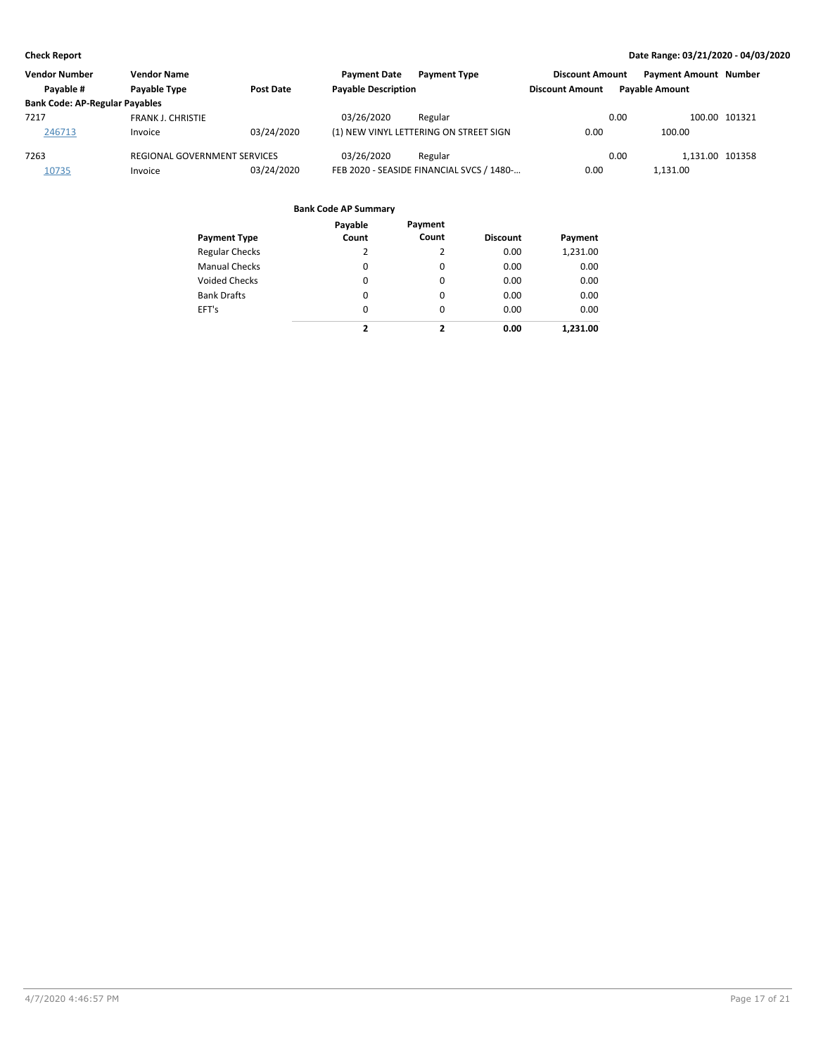| <b>Vendor Number</b><br><b>Vendor Name</b> |                              | <b>Payment Date</b><br><b>Payment Type</b> | <b>Discount Amount</b>                    | <b>Payment Amount Number</b> |                       |  |
|--------------------------------------------|------------------------------|--------------------------------------------|-------------------------------------------|------------------------------|-----------------------|--|
| Pavable #                                  | <b>Pavable Type</b>          | Post Date                                  | <b>Payable Description</b>                | <b>Discount Amount</b>       | <b>Pavable Amount</b> |  |
| <b>Bank Code: AP-Regular Payables</b>      |                              |                                            |                                           |                              |                       |  |
| 7217                                       | <b>FRANK J. CHRISTIE</b>     |                                            | 03/26/2020<br>Regular                     | 0.00                         | 100.00 101321         |  |
| 246713                                     | Invoice                      | 03/24/2020                                 | (1) NEW VINYL LETTERING ON STREET SIGN    | 0.00                         | 100.00                |  |
| 7263                                       | REGIONAL GOVERNMENT SERVICES |                                            | 03/26/2020<br>Regular                     | 0.00                         | 1.131.00 101358       |  |
| 10735                                      | Invoice                      | 03/24/2020                                 | FEB 2020 - SEASIDE FINANCIAL SVCS / 1480- | 0.00                         | 1,131.00              |  |

| <b>Payment Type</b>   | Payable<br>Count | Payment<br>Count | <b>Discount</b> | Payment  |
|-----------------------|------------------|------------------|-----------------|----------|
| <b>Regular Checks</b> | 2                | 2                | 0.00            | 1,231.00 |
| <b>Manual Checks</b>  | 0                | 0                | 0.00            | 0.00     |
| <b>Voided Checks</b>  | 0                | 0                | 0.00            | 0.00     |
| <b>Bank Drafts</b>    | 0                | 0                | 0.00            | 0.00     |
| EFT's                 | $\Omega$         | $\Omega$         | 0.00            | 0.00     |
|                       | 2                | 2                | 0.00            | 1.231.00 |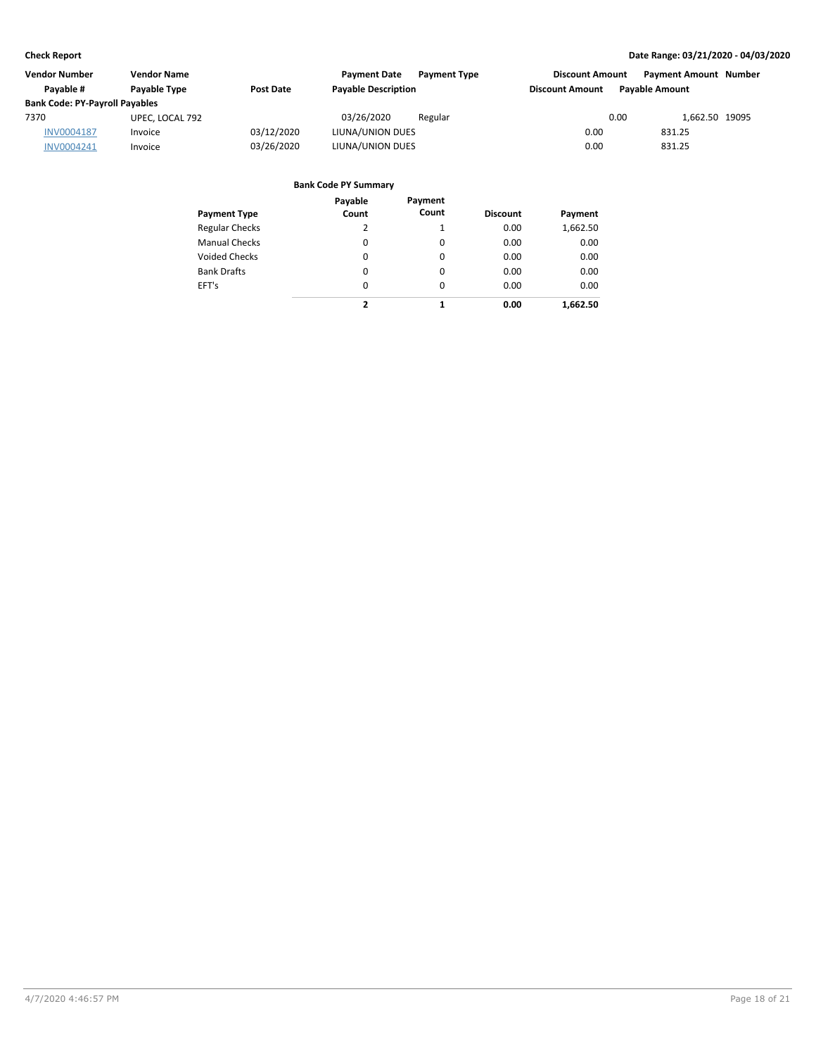| <b>Vendor Number</b>                  | <b>Vendor Name</b> |                  | <b>Payment Date</b>        | <b>Payment Type</b> | <b>Discount Amount</b> | <b>Payment Amount Number</b> |                |
|---------------------------------------|--------------------|------------------|----------------------------|---------------------|------------------------|------------------------------|----------------|
| Pavable #                             | Payable Type       | <b>Post Date</b> | <b>Payable Description</b> |                     | <b>Discount Amount</b> | <b>Pavable Amount</b>        |                |
| <b>Bank Code: PY-Payroll Payables</b> |                    |                  |                            |                     |                        |                              |                |
| 7370                                  | UPEC, LOCAL 792    |                  | 03/26/2020                 | Regular             |                        | 0.00                         | 1.662.50 19095 |
| <b>INV0004187</b>                     | Invoice            | 03/12/2020       | LIUNA/UNION DUES           |                     | 0.00                   | 831.25                       |                |
| INV0004241                            | Invoice            | 03/26/2020       | LIUNA/UNION DUES           |                     | 0.00                   | 831.25                       |                |

| Payment Type          | Payable<br>Count        | Payment<br>Count | <b>Discount</b> | Payment  |
|-----------------------|-------------------------|------------------|-----------------|----------|
| <b>Regular Checks</b> | 2                       | 1                | 0.00            | 1,662.50 |
| <b>Manual Checks</b>  | 0                       | 0                | 0.00            | 0.00     |
| <b>Voided Checks</b>  | 0                       | 0                | 0.00            | 0.00     |
| <b>Bank Drafts</b>    | 0                       | 0                | 0.00            | 0.00     |
| EFT's                 | $\Omega$                | 0                | 0.00            | 0.00     |
|                       | $\overline{\mathbf{z}}$ | 1                | 0.00            | 1.662.50 |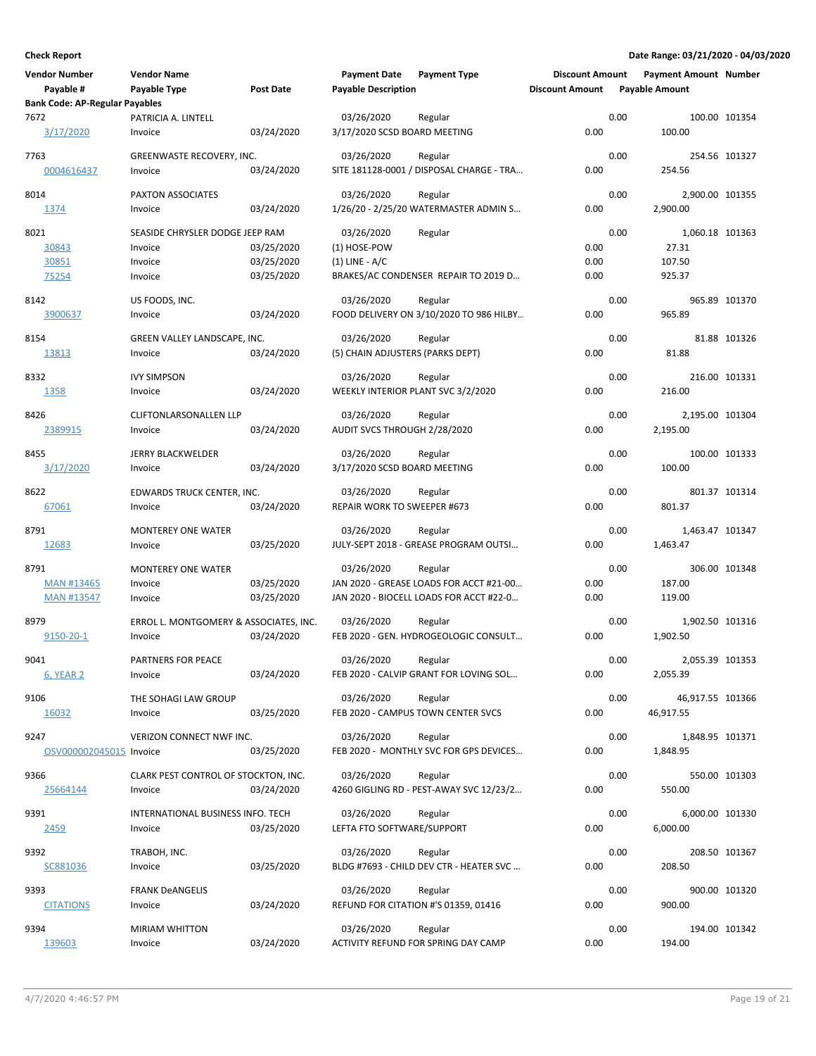| <b>Vendor Number</b>                               | <b>Vendor Name</b>                     |                  | <b>Payment Date</b>                | <b>Payment Type</b>                             | <b>Discount Amount</b> |      | <b>Payment Amount Number</b>  |               |
|----------------------------------------------------|----------------------------------------|------------------|------------------------------------|-------------------------------------------------|------------------------|------|-------------------------------|---------------|
| Payable #<br><b>Bank Code: AP-Regular Payables</b> | Payable Type                           | <b>Post Date</b> | <b>Payable Description</b>         |                                                 | <b>Discount Amount</b> |      | <b>Payable Amount</b>         |               |
| 7672                                               | PATRICIA A. LINTELL                    |                  | 03/26/2020                         | Regular                                         |                        | 0.00 |                               | 100.00 101354 |
| 3/17/2020                                          | Invoice                                | 03/24/2020       | 3/17/2020 SCSD BOARD MEETING       |                                                 | 0.00                   |      | 100.00                        |               |
| 7763                                               | GREENWASTE RECOVERY, INC.              |                  | 03/26/2020                         | Regular                                         |                        | 0.00 |                               | 254.56 101327 |
| 0004616437                                         | Invoice                                | 03/24/2020       |                                    | SITE 181128-0001 / DISPOSAL CHARGE - TRA        | 0.00                   |      | 254.56                        |               |
| 8014                                               | PAXTON ASSOCIATES                      |                  | 03/26/2020                         | Regular                                         |                        | 0.00 | 2,900.00 101355               |               |
| 1374                                               | Invoice                                | 03/24/2020       |                                    | 1/26/20 - 2/25/20 WATERMASTER ADMIN S           | 0.00                   |      | 2,900.00                      |               |
| 8021                                               | SEASIDE CHRYSLER DODGE JEEP RAM        |                  | 03/26/2020                         | Regular                                         |                        | 0.00 | 1,060.18 101363               |               |
| 30843                                              | Invoice                                | 03/25/2020       | (1) HOSE-POW                       |                                                 | 0.00                   |      | 27.31                         |               |
| 30851                                              | Invoice                                | 03/25/2020       | $(1)$ LINE - A/C                   |                                                 | 0.00                   |      | 107.50                        |               |
| 75254                                              | Invoice                                | 03/25/2020       |                                    | BRAKES/AC CONDENSER REPAIR TO 2019 D            | 0.00                   |      | 925.37                        |               |
| 8142                                               | US FOODS, INC.                         |                  | 03/26/2020                         | Regular                                         |                        | 0.00 |                               | 965.89 101370 |
| 3900637                                            | Invoice                                | 03/24/2020       |                                    | FOOD DELIVERY ON 3/10/2020 TO 986 HILBY         | 0.00                   |      | 965.89                        |               |
| 8154                                               | GREEN VALLEY LANDSCAPE, INC.           |                  | 03/26/2020                         | Regular                                         |                        | 0.00 |                               | 81.88 101326  |
| 13813                                              | Invoice                                | 03/24/2020       | (5) CHAIN ADJUSTERS (PARKS DEPT)   |                                                 | 0.00                   |      | 81.88                         |               |
| 8332                                               | <b>IVY SIMPSON</b>                     |                  | 03/26/2020                         | Regular                                         |                        | 0.00 |                               | 216.00 101331 |
| 1358                                               | Invoice                                | 03/24/2020       |                                    | WEEKLY INTERIOR PLANT SVC 3/2/2020              | 0.00                   |      | 216.00                        |               |
| 8426                                               | <b>CLIFTONLARSONALLEN LLP</b>          |                  | 03/26/2020                         | Regular                                         |                        | 0.00 | 2,195.00 101304               |               |
| 2389915                                            | Invoice                                | 03/24/2020       | AUDIT SVCS THROUGH 2/28/2020       |                                                 | 0.00                   |      | 2,195.00                      |               |
|                                                    |                                        |                  |                                    |                                                 |                        |      |                               |               |
| 8455<br>3/17/2020                                  | JERRY BLACKWELDER                      | 03/24/2020       | 03/26/2020                         | Regular                                         | 0.00                   | 0.00 | 100.00                        | 100.00 101333 |
|                                                    | Invoice                                |                  | 3/17/2020 SCSD BOARD MEETING       |                                                 |                        |      |                               |               |
| 8622                                               | EDWARDS TRUCK CENTER, INC.             |                  | 03/26/2020                         | Regular                                         |                        | 0.00 |                               | 801.37 101314 |
| 67061                                              | Invoice                                | 03/24/2020       | <b>REPAIR WORK TO SWEEPER #673</b> |                                                 | 0.00                   |      | 801.37                        |               |
| 8791                                               | <b>MONTEREY ONE WATER</b>              |                  | 03/26/2020                         | Regular                                         |                        | 0.00 | 1,463.47 101347               |               |
| 12683                                              | Invoice                                | 03/25/2020       |                                    | JULY-SEPT 2018 - GREASE PROGRAM OUTSI           | 0.00                   |      | 1,463.47                      |               |
| 8791                                               | <b>MONTEREY ONE WATER</b>              |                  | 03/26/2020                         | Regular                                         |                        | 0.00 |                               | 306.00 101348 |
| <b>MAN #13465</b>                                  | Invoice                                | 03/25/2020       |                                    | JAN 2020 - GREASE LOADS FOR ACCT #21-00         | 0.00                   |      | 187.00                        |               |
| <b>MAN #13547</b>                                  | Invoice                                | 03/25/2020       |                                    | JAN 2020 - BIOCELL LOADS FOR ACCT #22-0         | 0.00                   |      | 119.00                        |               |
| 8979                                               | ERROL L. MONTGOMERY & ASSOCIATES, INC. |                  | 03/26/2020                         | Regular                                         |                        | 0.00 | 1,902.50 101316               |               |
| 9150-20-1                                          | Invoice                                | 03/24/2020       |                                    | FEB 2020 - GEN. HYDROGEOLOGIC CONSULT           | 0.00                   |      | 1,902.50                      |               |
| 9041                                               | PARTNERS FOR PEACE                     |                  | 03/26/2020                         | Regular                                         |                        | 0.00 | 2,055.39 101353               |               |
| <b>6, YEAR 2</b>                                   | Invoice                                | 03/24/2020       |                                    | FEB 2020 - CALVIP GRANT FOR LOVING SOL          | 0.00                   |      | 2,055.39                      |               |
|                                                    |                                        |                  |                                    |                                                 |                        |      |                               |               |
| 9106<br>16032                                      | THE SOHAGI LAW GROUP<br>Invoice        | 03/25/2020       | 03/26/2020                         | Regular<br>FEB 2020 - CAMPUS TOWN CENTER SVCS   | 0.00                   | 0.00 | 46,917.55 101366<br>46,917.55 |               |
|                                                    |                                        |                  |                                    |                                                 |                        |      |                               |               |
| 9247                                               | <b>VERIZON CONNECT NWF INC.</b>        |                  | 03/26/2020                         | Regular                                         |                        | 0.00 | 1,848.95 101371               |               |
| OSV000002045015 Invoice                            |                                        | 03/25/2020       |                                    | FEB 2020 - MONTHLY SVC FOR GPS DEVICES          | 0.00                   |      | 1,848.95                      |               |
| 9366                                               | CLARK PEST CONTROL OF STOCKTON, INC.   |                  | 03/26/2020                         | Regular                                         |                        | 0.00 |                               | 550.00 101303 |
| 25664144                                           | Invoice                                | 03/24/2020       |                                    | 4260 GIGLING RD - PEST-AWAY SVC 12/23/2         | 0.00                   |      | 550.00                        |               |
| 9391                                               | INTERNATIONAL BUSINESS INFO. TECH      |                  | 03/26/2020                         | Regular                                         |                        | 0.00 | 6,000.00 101330               |               |
| 2459                                               | Invoice                                | 03/25/2020       | LEFTA FTO SOFTWARE/SUPPORT         |                                                 | 0.00                   |      | 6,000.00                      |               |
| 9392                                               | TRABOH, INC.                           |                  | 03/26/2020                         | Regular                                         |                        | 0.00 |                               | 208.50 101367 |
| SC881036                                           | Invoice                                | 03/25/2020       |                                    | BLDG #7693 - CHILD DEV CTR - HEATER SVC         | 0.00                   |      | 208.50                        |               |
|                                                    |                                        |                  |                                    |                                                 |                        |      |                               |               |
| 9393<br><b>CITATIONS</b>                           | <b>FRANK DeANGELIS</b>                 | 03/24/2020       | 03/26/2020                         | Regular<br>REFUND FOR CITATION #'S 01359, 01416 | 0.00                   | 0.00 | 900.00                        | 900.00 101320 |
|                                                    | Invoice                                |                  |                                    |                                                 |                        |      |                               |               |
| 9394                                               | <b>MIRIAM WHITTON</b>                  |                  | 03/26/2020                         | Regular                                         |                        | 0.00 |                               | 194.00 101342 |
| 139603                                             | Invoice                                | 03/24/2020       |                                    | ACTIVITY REFUND FOR SPRING DAY CAMP             | 0.00                   |      | 194.00                        |               |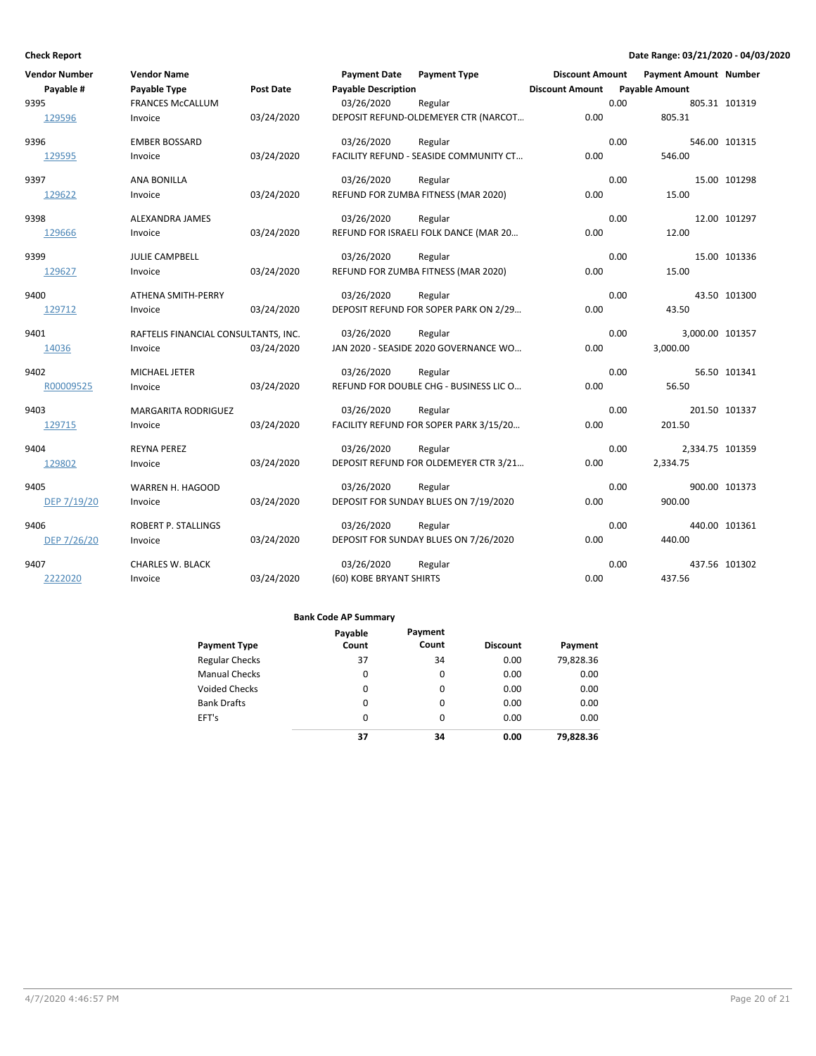| <b>Vendor Number</b> | <b>Vendor Name</b>                   |                  | <b>Payment Date</b>        | <b>Payment Type</b>                    | <b>Discount Amount</b> |      | <b>Payment Amount Number</b> |               |
|----------------------|--------------------------------------|------------------|----------------------------|----------------------------------------|------------------------|------|------------------------------|---------------|
| Payable #            | Payable Type                         | <b>Post Date</b> | <b>Payable Description</b> |                                        | <b>Discount Amount</b> |      | <b>Payable Amount</b>        |               |
| 9395                 | <b>FRANCES McCALLUM</b>              |                  | 03/26/2020                 | Regular                                |                        | 0.00 |                              | 805.31 101319 |
| 129596               | Invoice                              | 03/24/2020       |                            | DEPOSIT REFUND-OLDEMEYER CTR (NARCOT   | 0.00                   |      | 805.31                       |               |
| 9396                 | <b>EMBER BOSSARD</b>                 |                  | 03/26/2020                 | Regular                                |                        | 0.00 |                              | 546.00 101315 |
| 129595               | Invoice                              | 03/24/2020       |                            | FACILITY REFUND - SEASIDE COMMUNITY CT | 0.00                   |      | 546.00                       |               |
| 9397                 | <b>ANA BONILLA</b>                   |                  | 03/26/2020                 | Regular                                |                        | 0.00 |                              | 15.00 101298  |
| 129622               | Invoice                              | 03/24/2020       |                            | REFUND FOR ZUMBA FITNESS (MAR 2020)    | 0.00                   |      | 15.00                        |               |
| 9398                 | ALEXANDRA JAMES                      |                  | 03/26/2020                 | Regular                                |                        | 0.00 |                              | 12.00 101297  |
| 129666               | Invoice                              | 03/24/2020       |                            | REFUND FOR ISRAELI FOLK DANCE (MAR 20  | 0.00                   |      | 12.00                        |               |
| 9399                 | <b>JULIE CAMPBELL</b>                |                  | 03/26/2020                 | Regular                                |                        | 0.00 |                              | 15.00 101336  |
| 129627               | Invoice                              | 03/24/2020       |                            | REFUND FOR ZUMBA FITNESS (MAR 2020)    | 0.00                   |      | 15.00                        |               |
| 9400                 | ATHENA SMITH-PERRY                   |                  | 03/26/2020                 | Regular                                |                        | 0.00 |                              | 43.50 101300  |
| 129712               | Invoice                              | 03/24/2020       |                            | DEPOSIT REFUND FOR SOPER PARK ON 2/29  | 0.00                   |      | 43.50                        |               |
| 9401                 | RAFTELIS FINANCIAL CONSULTANTS, INC. |                  | 03/26/2020                 | Regular                                |                        | 0.00 | 3,000.00 101357              |               |
| 14036                | Invoice                              | 03/24/2020       |                            | JAN 2020 - SEASIDE 2020 GOVERNANCE WO  | 0.00                   |      | 3,000.00                     |               |
| 9402                 | MICHAEL JETER                        |                  | 03/26/2020                 | Regular                                |                        | 0.00 |                              | 56.50 101341  |
| R00009525            | Invoice                              | 03/24/2020       |                            | REFUND FOR DOUBLE CHG - BUSINESS LIC O | 0.00                   |      | 56.50                        |               |
| 9403                 | <b>MARGARITA RODRIGUEZ</b>           |                  | 03/26/2020                 | Regular                                |                        | 0.00 |                              | 201.50 101337 |
| 129715               | Invoice                              | 03/24/2020       |                            | FACILITY REFUND FOR SOPER PARK 3/15/20 | 0.00                   |      | 201.50                       |               |
| 9404                 | <b>REYNA PEREZ</b>                   |                  | 03/26/2020                 | Regular                                |                        | 0.00 | 2,334.75 101359              |               |
| 129802               | Invoice                              | 03/24/2020       |                            | DEPOSIT REFUND FOR OLDEMEYER CTR 3/21  | 0.00                   |      | 2,334.75                     |               |
| 9405                 | WARREN H. HAGOOD                     |                  | 03/26/2020                 | Regular                                |                        | 0.00 |                              | 900.00 101373 |
| DEP 7/19/20          | Invoice                              | 03/24/2020       |                            | DEPOSIT FOR SUNDAY BLUES ON 7/19/2020  | 0.00                   |      | 900.00                       |               |
| 9406                 | ROBERT P. STALLINGS                  |                  | 03/26/2020                 | Regular                                |                        | 0.00 |                              | 440.00 101361 |
| DEP 7/26/20          | Invoice                              | 03/24/2020       |                            | DEPOSIT FOR SUNDAY BLUES ON 7/26/2020  | 0.00                   |      | 440.00                       |               |
| 9407                 | <b>CHARLES W. BLACK</b>              |                  | 03/26/2020                 | Regular                                |                        | 0.00 |                              | 437.56 101302 |
| 2222020              | Invoice                              | 03/24/2020       | (60) KOBE BRYANT SHIRTS    |                                        | 0.00                   |      | 437.56                       |               |

|                       | Payable  | Payment  |                 |           |
|-----------------------|----------|----------|-----------------|-----------|
| <b>Payment Type</b>   | Count    | Count    | <b>Discount</b> | Payment   |
| <b>Regular Checks</b> | 37       | 34       | 0.00            | 79,828.36 |
| <b>Manual Checks</b>  | 0        | 0        | 0.00            | 0.00      |
| <b>Voided Checks</b>  | 0        | 0        | 0.00            | 0.00      |
| <b>Bank Drafts</b>    | $\Omega$ | 0        | 0.00            | 0.00      |
| EFT's                 | $\Omega$ | $\Omega$ | 0.00            | 0.00      |
|                       | 37       | 34       | 0.00            | 79.828.36 |